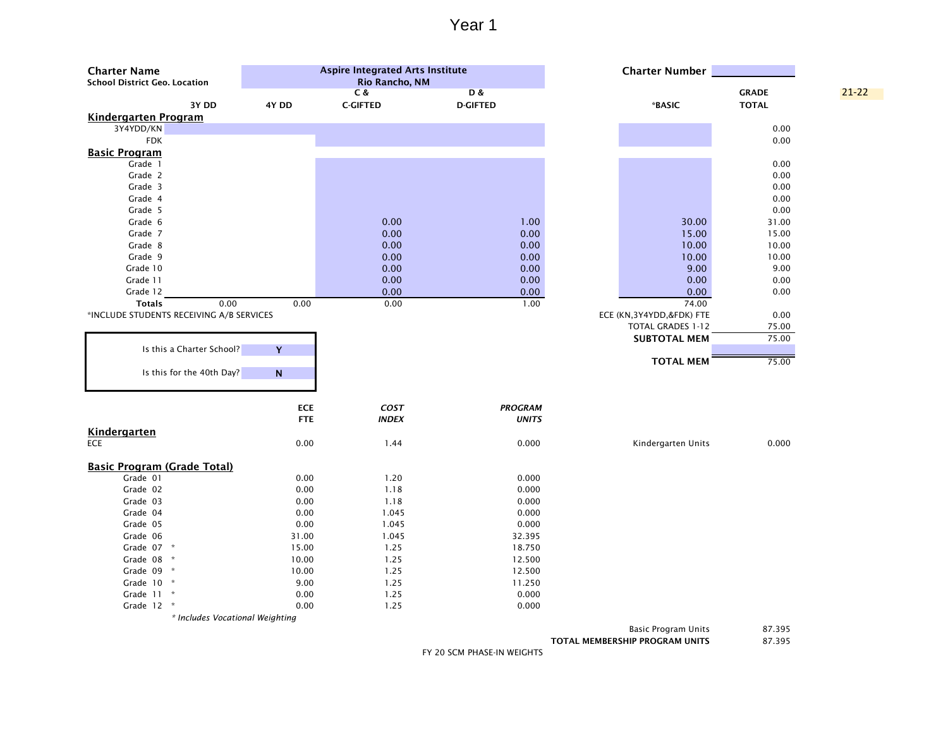| <b>Charter Name</b><br><b>School District Geo. Location</b> |            | <b>Aspire Integrated Arts Institute</b><br>Rio Rancho, NM |                                  | <b>Charter Number</b>      |                              |           |
|-------------------------------------------------------------|------------|-----------------------------------------------------------|----------------------------------|----------------------------|------------------------------|-----------|
| 3Y DD                                                       | 4Y DD      | C &<br><b>C-GIFTED</b>                                    | <b>D&amp;</b><br><b>D-GIFTED</b> | *BASIC                     | <b>GRADE</b><br><b>TOTAL</b> | $21 - 22$ |
| <b>Kindergarten Program</b>                                 |            |                                                           |                                  |                            |                              |           |
| 3Y4YDD/KN                                                   |            |                                                           |                                  |                            | 0.00                         |           |
| <b>FDK</b>                                                  |            |                                                           |                                  |                            | 0.00                         |           |
| <b>Basic Program</b>                                        |            |                                                           |                                  |                            |                              |           |
| Grade 1                                                     |            |                                                           |                                  |                            | 0.00                         |           |
| Grade 2                                                     |            |                                                           |                                  |                            | 0.00                         |           |
| Grade 3                                                     |            |                                                           |                                  |                            | 0.00                         |           |
| Grade 4                                                     |            |                                                           |                                  |                            | 0.00                         |           |
| Grade 5                                                     |            |                                                           |                                  |                            | 0.00                         |           |
| Grade 6                                                     |            | 0.00                                                      | 1.00                             | 30.00                      | 31.00                        |           |
| Grade 7                                                     |            | 0.00                                                      | 0.00                             | 15.00                      | 15.00                        |           |
| Grade 8                                                     |            | 0.00                                                      | 0.00                             | 10.00                      | 10.00                        |           |
| Grade 9                                                     |            | 0.00                                                      | 0.00                             | 10.00                      | 10.00                        |           |
| Grade 10                                                    |            | 0.00                                                      | 0.00                             | 9.00                       | 9.00                         |           |
| Grade 11                                                    |            | 0.00                                                      | 0.00                             | 0.00                       | 0.00                         |           |
| Grade 12                                                    |            | 0.00                                                      | 0.00                             | 0.00                       | 0.00                         |           |
| 0.00<br><b>Totals</b>                                       | 0.00       | 0.00                                                      | 1.00                             | 74.00                      |                              |           |
| *INCLUDE STUDENTS RECEIVING A/B SERVICES                    |            |                                                           |                                  | ECE (KN, 3Y4YDD, &FDK) FTE | 0.00                         |           |
|                                                             |            |                                                           |                                  | TOTAL GRADES 1-12          | 75.00                        |           |
|                                                             |            |                                                           |                                  | <b>SUBTOTAL MEM</b>        | 75.00                        |           |
| Is this a Charter School?                                   | Y          |                                                           |                                  |                            |                              |           |
|                                                             |            |                                                           |                                  | <b>TOTAL MEM</b>           | 75.00                        |           |
| Is this for the 40th Day?                                   | ${\bf N}$  |                                                           |                                  |                            |                              |           |
|                                                             |            |                                                           |                                  |                            |                              |           |
|                                                             |            |                                                           |                                  |                            |                              |           |
|                                                             | <b>ECE</b> | COST                                                      | <b>PROGRAM</b>                   |                            |                              |           |
|                                                             | <b>FTE</b> | <b>INDEX</b>                                              | <b>UNITS</b>                     |                            |                              |           |
| Kindergarten                                                |            |                                                           |                                  |                            |                              |           |
| ECE                                                         | 0.00       | 1.44                                                      | 0.000                            | Kindergarten Units         | 0.000                        |           |
|                                                             |            |                                                           |                                  |                            |                              |           |
| <b>Basic Program (Grade Total)</b>                          |            |                                                           |                                  |                            |                              |           |
| Grade 01                                                    | 0.00       | 1.20                                                      | 0.000                            |                            |                              |           |
| Grade 02                                                    | 0.00       | 1.18                                                      | 0.000                            |                            |                              |           |
| Grade 03                                                    | 0.00       | 1.18                                                      | 0.000                            |                            |                              |           |
| Grade 04                                                    | 0.00       | 1.045                                                     | 0.000                            |                            |                              |           |
| Grade 05                                                    | 0.00       | 1.045                                                     | 0.000                            |                            |                              |           |
| Grade 06                                                    | 31.00      | 1.045                                                     | 32.395                           |                            |                              |           |
| Grade 07 *                                                  | 15.00      | 1.25                                                      | 18.750                           |                            |                              |           |
| Grade 08 *                                                  | 10.00      | 1.25                                                      | 12.500                           |                            |                              |           |
| Grade 09 *                                                  | 10.00      | 1.25                                                      | 12.500                           |                            |                              |           |
| Grade 10 *                                                  | 9.00       | 1.25                                                      | 11.250                           |                            |                              |           |
| Grade 11 *                                                  | 0.00       | 1.25                                                      | 0.000                            |                            |                              |           |
| Grade 12 *                                                  | 0.00       | 1.25                                                      | 0.000                            |                            |                              |           |
| * Includes Vocational Weighting                             |            |                                                           |                                  |                            |                              |           |

Basic Program Units 87.395

TOTAL MEMBERSHIP PROGRAM UNITS 87.395

FY 20 SCM PHASE-IN WEIGHTS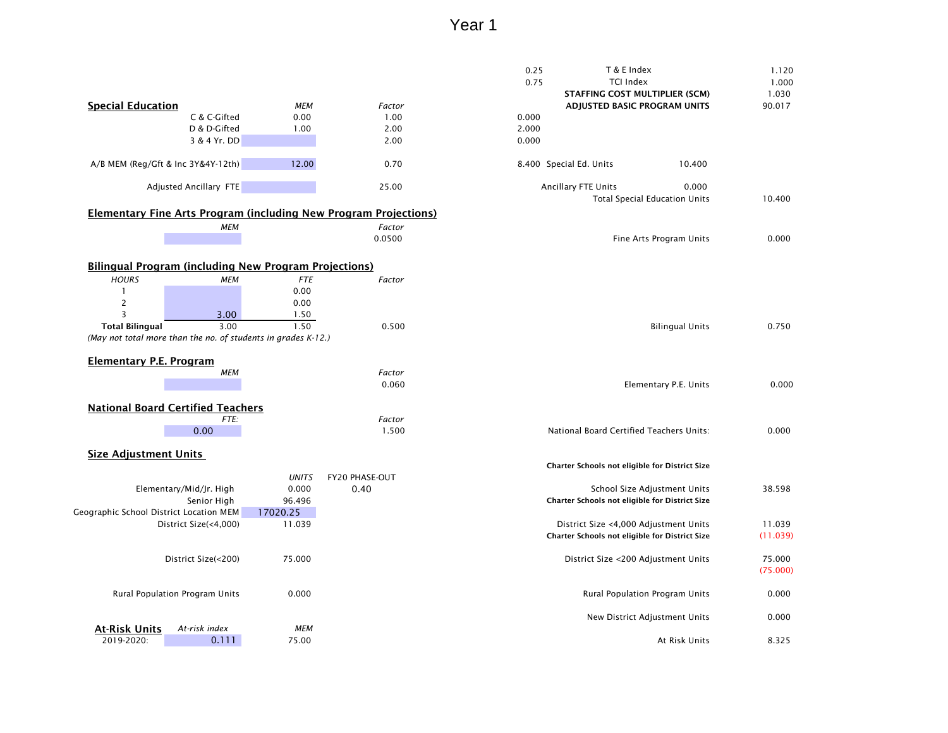|                                         |                                                               |                    |                                                                         | 0.25  | T & E Index<br><b>TCI Index</b>                |                                      | 1.120          |
|-----------------------------------------|---------------------------------------------------------------|--------------------|-------------------------------------------------------------------------|-------|------------------------------------------------|--------------------------------------|----------------|
|                                         |                                                               |                    |                                                                         | 0.75  | <b>STAFFING COST MULTIPLIER (SCM)</b>          |                                      | 1.000<br>1.030 |
| <b>Special Education</b>                |                                                               | МЕМ                | Factor                                                                  |       | ADJUSTED BASIC PROGRAM UNITS                   |                                      | 90.017         |
|                                         | C & C-Gifted                                                  | 0.00               | 1.00                                                                    | 0.000 |                                                |                                      |                |
|                                         | D & D-Gifted                                                  | 1.00               | 2.00                                                                    | 2.000 |                                                |                                      |                |
|                                         | 3 & 4 Yr. DD                                                  |                    | 2.00                                                                    | 0.000 |                                                |                                      |                |
|                                         |                                                               |                    |                                                                         |       |                                                |                                      |                |
|                                         | A/B MEM (Reg/Gft & Inc 3Y&4Y-12th)                            | 12.00              | 0.70                                                                    |       | 8.400 Special Ed. Units                        | 10.400                               |                |
|                                         | Adjusted Ancillary FTE                                        |                    | 25.00                                                                   |       | Ancillary FTE Units                            | 0.000                                |                |
|                                         |                                                               |                    | <b>Elementary Fine Arts Program (including New Program Projections)</b> |       |                                                | <b>Total Special Education Units</b> | 10.400         |
|                                         | МЕМ                                                           |                    | Factor                                                                  |       |                                                |                                      |                |
|                                         |                                                               |                    | 0.0500                                                                  |       |                                                | Fine Arts Program Units              | 0.000          |
|                                         |                                                               |                    |                                                                         |       |                                                |                                      |                |
|                                         | <b>Bilingual Program (including New Program Projections)</b>  |                    |                                                                         |       |                                                |                                      |                |
| <b>HOURS</b>                            | <b>MEM</b>                                                    | <b>FTE</b>         | Factor                                                                  |       |                                                |                                      |                |
|                                         |                                                               | 0.00               |                                                                         |       |                                                |                                      |                |
| $\overline{c}$                          |                                                               | 0.00               |                                                                         |       |                                                |                                      |                |
| 3                                       | 3.00                                                          | 1.50               |                                                                         |       |                                                |                                      |                |
| <b>Total Bilingual</b>                  | 3.00                                                          | 1.50               | 0.500                                                                   |       |                                                | <b>Bilingual Units</b>               | 0.750          |
|                                         | (May not total more than the no. of students in grades K-12.) |                    |                                                                         |       |                                                |                                      |                |
|                                         |                                                               |                    |                                                                         |       |                                                |                                      |                |
| <b>Elementary P.E. Program</b>          | <b>MEM</b>                                                    |                    | Factor                                                                  |       |                                                |                                      |                |
|                                         |                                                               |                    | 0.060                                                                   |       |                                                | Elementary P.E. Units                | 0.000          |
|                                         |                                                               |                    |                                                                         |       |                                                |                                      |                |
|                                         | <b>National Board Certified Teachers</b>                      |                    |                                                                         |       |                                                |                                      |                |
|                                         | FTE:                                                          |                    | Factor                                                                  |       |                                                |                                      |                |
|                                         | 0.00                                                          |                    | 1.500                                                                   |       | National Board Certified Teachers Units:       |                                      | 0.000          |
|                                         |                                                               |                    |                                                                         |       |                                                |                                      |                |
| <b>Size Adjustment Units</b>            |                                                               |                    |                                                                         |       |                                                |                                      |                |
|                                         |                                                               |                    |                                                                         |       | Charter Schools not eligible for District Size |                                      |                |
|                                         |                                                               | <b>UNITS</b>       | <b>FY20 PHASE-OUT</b>                                                   |       |                                                |                                      |                |
|                                         | Elementary/Mid/Jr. High<br>Senior High                        | 0.000              | 0.40                                                                    |       |                                                | School Size Adjustment Units         | 38.598         |
| Geographic School District Location MEM |                                                               | 96.496<br>17020.25 |                                                                         |       | Charter Schools not eligible for District Size |                                      |                |
|                                         | District Size(<4,000)                                         | 11.039             |                                                                         |       | District Size <4,000 Adjustment Units          |                                      | 11.039         |
|                                         |                                                               |                    |                                                                         |       | Charter Schools not eligible for District Size |                                      | (11.039)       |
|                                         |                                                               |                    |                                                                         |       |                                                |                                      |                |
|                                         | District Size(<200)                                           | 75.000             |                                                                         |       | District Size <200 Adjustment Units            |                                      | 75.000         |
|                                         |                                                               |                    |                                                                         |       |                                                |                                      | (75.000)       |
|                                         | Rural Population Program Units                                | 0.000              |                                                                         |       | Rural Population Program Units                 |                                      | 0.000          |
|                                         |                                                               |                    |                                                                         |       |                                                |                                      |                |
|                                         |                                                               |                    |                                                                         |       | New District Adjustment Units                  |                                      | 0.000          |
| <b>At-Risk Units</b>                    | At-risk index                                                 | MEM                |                                                                         |       |                                                |                                      |                |
| 2019-2020:                              | 0.111                                                         | 75.00              |                                                                         |       |                                                | At Risk Units                        | 8.325          |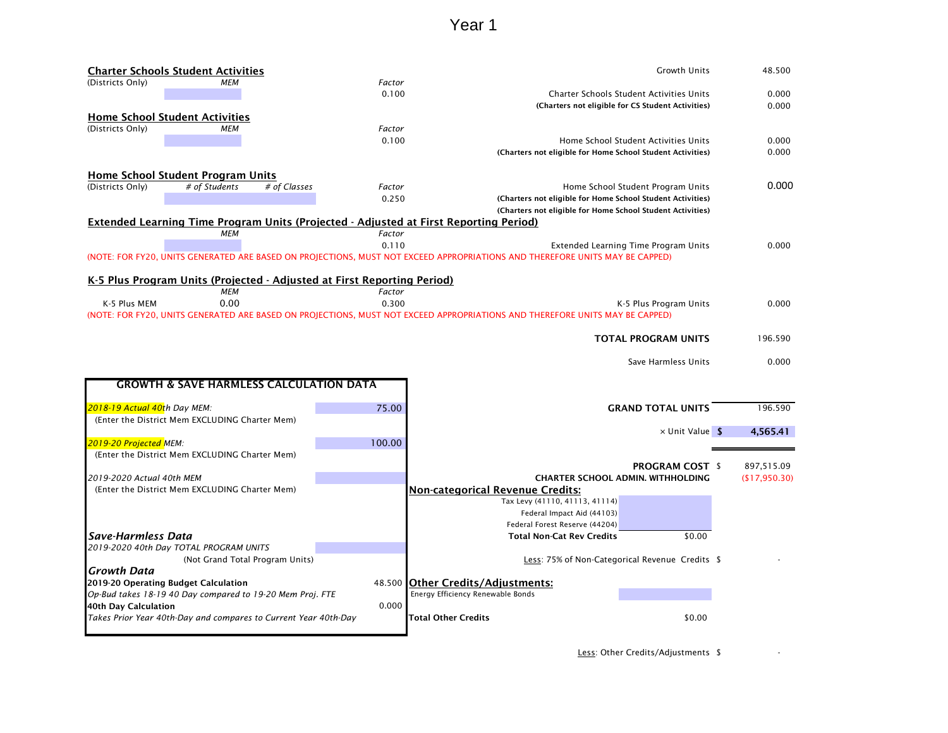|                              | <b>Charter Schools Student Activities</b>                               |              |                 | <b>Growth Units</b>                                                                                                                                                  | 48.500        |
|------------------------------|-------------------------------------------------------------------------|--------------|-----------------|----------------------------------------------------------------------------------------------------------------------------------------------------------------------|---------------|
| (Districts Only)             | MEM                                                                     |              | Factor          |                                                                                                                                                                      |               |
|                              |                                                                         |              | 0.100           | Charter Schools Student Activities Units                                                                                                                             | 0.000         |
|                              |                                                                         |              |                 | (Charters not eligible for CS Student Activities)                                                                                                                    | 0.000         |
|                              | <b>Home School Student Activities</b>                                   |              |                 |                                                                                                                                                                      |               |
| (Districts Only)             | <b>MEM</b>                                                              |              | Factor          |                                                                                                                                                                      |               |
|                              |                                                                         |              | 0.100           | Home School Student Activities Units                                                                                                                                 | 0.000         |
|                              |                                                                         |              |                 | (Charters not eligible for Home School Student Activities)                                                                                                           | 0.000         |
|                              |                                                                         |              |                 |                                                                                                                                                                      |               |
|                              | <b>Home School Student Program Units</b>                                |              |                 |                                                                                                                                                                      | 0.000         |
| (Districts Only)             | # of Students                                                           | # of Classes | Factor<br>0.250 | Home School Student Program Units                                                                                                                                    |               |
|                              |                                                                         |              |                 | (Charters not eligible for Home School Student Activities)                                                                                                           |               |
|                              |                                                                         |              |                 | (Charters not eligible for Home School Student Activities)                                                                                                           |               |
|                              | <b>MEM</b>                                                              |              | Factor          | <b>Extended Learning Time Program Units (Projected - Adjusted at First Reporting Period)</b>                                                                         |               |
|                              |                                                                         |              | 0.110           |                                                                                                                                                                      | 0.000         |
|                              |                                                                         |              |                 | Extended Learning Time Program Units<br>(NOTE: FOR FY20, UNITS GENERATED ARE BASED ON PROJECTIONS, MUST NOT EXCEED APPROPRIATIONS AND THEREFORE UNITS MAY BE CAPPED) |               |
|                              |                                                                         |              |                 |                                                                                                                                                                      |               |
|                              | K-5 Plus Program Units (Projected - Adjusted at First Reporting Period) |              |                 |                                                                                                                                                                      |               |
|                              | <b>MEM</b>                                                              |              | Factor          |                                                                                                                                                                      |               |
| K-5 Plus MEM                 | 0.00                                                                    |              | 0.300           | K-5 Plus Program Units                                                                                                                                               | 0.000         |
|                              |                                                                         |              |                 | (NOTE: FOR FY20, UNITS GENERATED ARE BASED ON PROJECTIONS, MUST NOT EXCEED APPROPRIATIONS AND THEREFORE UNITS MAY BE CAPPED)                                         |               |
|                              |                                                                         |              |                 |                                                                                                                                                                      |               |
|                              |                                                                         |              |                 | <b>TOTAL PROGRAM UNITS</b>                                                                                                                                           | 196.590       |
|                              |                                                                         |              |                 |                                                                                                                                                                      |               |
|                              |                                                                         |              |                 | Save Harmless Units                                                                                                                                                  | 0.000         |
|                              |                                                                         |              |                 |                                                                                                                                                                      |               |
|                              | <b>GROWTH &amp; SAVE HARMLESS CALCULATION DATA</b>                      |              |                 |                                                                                                                                                                      |               |
|                              |                                                                         |              |                 |                                                                                                                                                                      |               |
| 2018-19 Actual 40th Day MEM: |                                                                         |              | 75.00           | <b>GRAND TOTAL UNITS</b>                                                                                                                                             | 196.590       |
|                              | (Enter the District Mem EXCLUDING Charter Mem)                          |              |                 |                                                                                                                                                                      |               |
|                              |                                                                         |              |                 | $\times$ Unit Value \$                                                                                                                                               | 4,565.41      |
| 2019-20 Projected MEM:       |                                                                         |              | 100.00          |                                                                                                                                                                      |               |
|                              | (Enter the District Mem EXCLUDING Charter Mem)                          |              |                 |                                                                                                                                                                      |               |
|                              |                                                                         |              |                 | <b>PROGRAM COST \$</b>                                                                                                                                               | 897,515.09    |
| 2019-2020 Actual 40th MEM    |                                                                         |              |                 | <b>CHARTER SCHOOL ADMIN. WITHHOLDING</b>                                                                                                                             | (\$17,950.30) |
|                              | (Enter the District Mem EXCLUDING Charter Mem)                          |              |                 | <b>Non-categorical Revenue Credits:</b>                                                                                                                              |               |
|                              |                                                                         |              |                 | Tax Levy (41110, 41113, 41114)                                                                                                                                       |               |
|                              |                                                                         |              |                 | Federal Impact Aid (44103)                                                                                                                                           |               |
|                              |                                                                         |              |                 | Federal Forest Reserve (44204)                                                                                                                                       |               |
| Save-Harmless Data           |                                                                         |              |                 | <b>Total Non-Cat Rev Credits</b><br>\$0.00                                                                                                                           |               |
|                              | 2019-2020 40th Day TOTAL PROGRAM UNITS                                  |              |                 |                                                                                                                                                                      |               |
|                              |                                                                         |              |                 |                                                                                                                                                                      |               |
| Growth Data                  | (Not Grand Total Program Units)                                         |              |                 | Less: 75% of Non-Categorical Revenue Credits \$                                                                                                                      |               |
|                              |                                                                         |              |                 |                                                                                                                                                                      |               |
|                              | 2019-20 Operating Budget Calculation                                    |              |                 | 48.500 Other Credits/Adjustments:                                                                                                                                    |               |
|                              | Op-Bud takes 18-19 40 Day compared to 19-20 Mem Proj. FTE               |              |                 | Energy Efficiency Renewable Bonds                                                                                                                                    |               |
| 40th Day Calculation         |                                                                         |              | 0.000           |                                                                                                                                                                      |               |
|                              | Takes Prior Year 40th-Day and compares to Current Year 40th-Day         |              |                 | Total Other Credits<br>\$0.00                                                                                                                                        |               |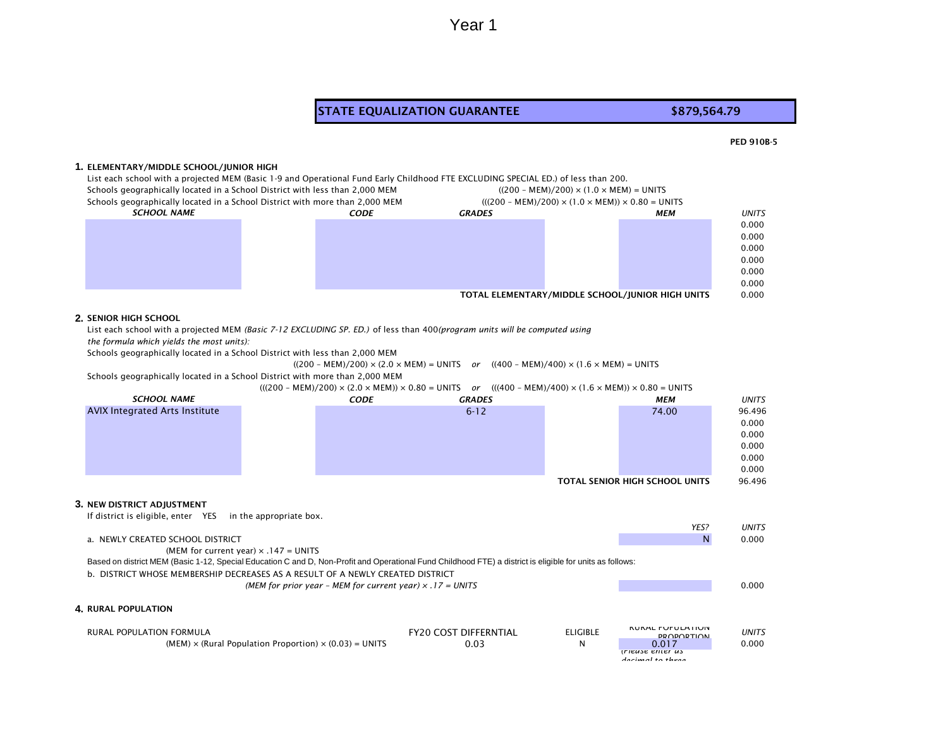#### STATE EQUALIZATION GUARANTEE **\$879,564.79**

#### PED 910B-5

#### **1.** ELEMENTARY/MIDDLE SCHOOL/JUNIOR HIGH

List each school with a projected MEM (Basic 1-9 and Operational Fund Early Childhood FTE EXCLUDING SPECIAL ED.) of less than 200. Schools geographically located in a School District with less than 2,000 MEM  $(200 - \text{MEM}) \times (1.0 \times \text{MEM}) = 11 \text{NITS}$ 

| SCHOOLS geographically located in a School District with less than 2,000 MEM |  |             |               | $(200 - MEW)/200 \times (1.0 \times WEW) = UNIIS$                                      |                                                  |              |
|------------------------------------------------------------------------------|--|-------------|---------------|----------------------------------------------------------------------------------------|--------------------------------------------------|--------------|
| Schools geographically located in a School District with more than 2,000 MEM |  |             |               | $(((200 - \text{MEM})/200) \times (1.0 \times \text{MEM})) \times 0.80 = \text{UNITS}$ |                                                  |              |
| <i><b>SCHOOL NAME</b></i>                                                    |  | <b>CODE</b> | <b>GRADES</b> |                                                                                        | МЕМ                                              | <b>UNITS</b> |
|                                                                              |  |             |               |                                                                                        |                                                  | 0.000        |
|                                                                              |  |             |               |                                                                                        |                                                  | 0.000        |
|                                                                              |  |             |               |                                                                                        |                                                  | 0.000        |
|                                                                              |  |             |               |                                                                                        |                                                  | 0.000        |
|                                                                              |  |             |               |                                                                                        |                                                  | 0.000        |
|                                                                              |  |             |               |                                                                                        |                                                  | 0.000        |
|                                                                              |  |             |               |                                                                                        | TOTAL ELEMENTARY/MIDDLE SCHOOL/JUNIOR HIGH UNITS | 0.000        |

#### **2.** SENIOR HIGH SCHOOL

List each school with a projected MEM *(Basic 7-12 EXCLUDING SP. ED.)* of less than 400*(program units will be computed using the formula which yields the most units):* 

Schools geographically located in a School District with less than 2,000 MEM

 $((200 - MEM)/200) \times (2.0 \times MEM) = UNITS$  *or*  $((400 - MEM)/400) \times (1.6 \times MEM) = UNITS$ 

Schools geographically located in a School District with more than 2,000 MEM

(((200 – MEM)/200) × (2.0 × MEM)) × 0.80 = UNITS *or* (((400 – MEM)/400) × (1.6 × MEM)) × 0.80 = UNITS *CODE GRADES MEM UNITS* 6-12 74.00 96.496 0.000 0.000 0.000 0.000 0.000 TOTAL SENIOR HIGH SCHOOL UNITS 96.496 **3.** NEW DISTRICT ADJUSTMENT If district is eligible, enter YES in the appropriate box. *YES? UNITS* a. NEWLY CREATED SCHOOL DISTRICT And the control of the control of the control of the control of the control of the control of the control of the control of the control of the control of the control of the control of the c (MEM for current year)  $\times$  .147 = UNITS b. DISTRICT WHOSE MEMBERSHIP DECREASES AS A RESULT OF A NEWLY CREATED DISTRICT *(MEM for prior year – MEM for current year) × .17 = UNITS* 0.000 **4.** RURAL POPULATION *SCHOOL NAME* AVIX Integrated Arts Institute Based on district MEM (Basic 1-12, Special Education C and D, Non-Profit and Operational Fund Childhood FTE) a district is eligible for units as follows:

| RURAL POPULATION FORMULA                                             | <b>FY20 COST DIFFERNTIAL</b> | <b>ELIGIBLE</b> | <b>KUKAL FUFULATIUN</b><br><b>DDODODTION</b> | <b>UNITS</b> |
|----------------------------------------------------------------------|------------------------------|-----------------|----------------------------------------------|--------------|
| (MEM) $\times$ (Rural Population Proportion) $\times$ (0.03) = UNITS | 0.03                         |                 | 0.017                                        | 0.000        |
|                                                                      |                              |                 | <i><u><b>IFIEUSE ETILET US</b></u></i>       |              |
|                                                                      |                              |                 | docimal to thron                             |              |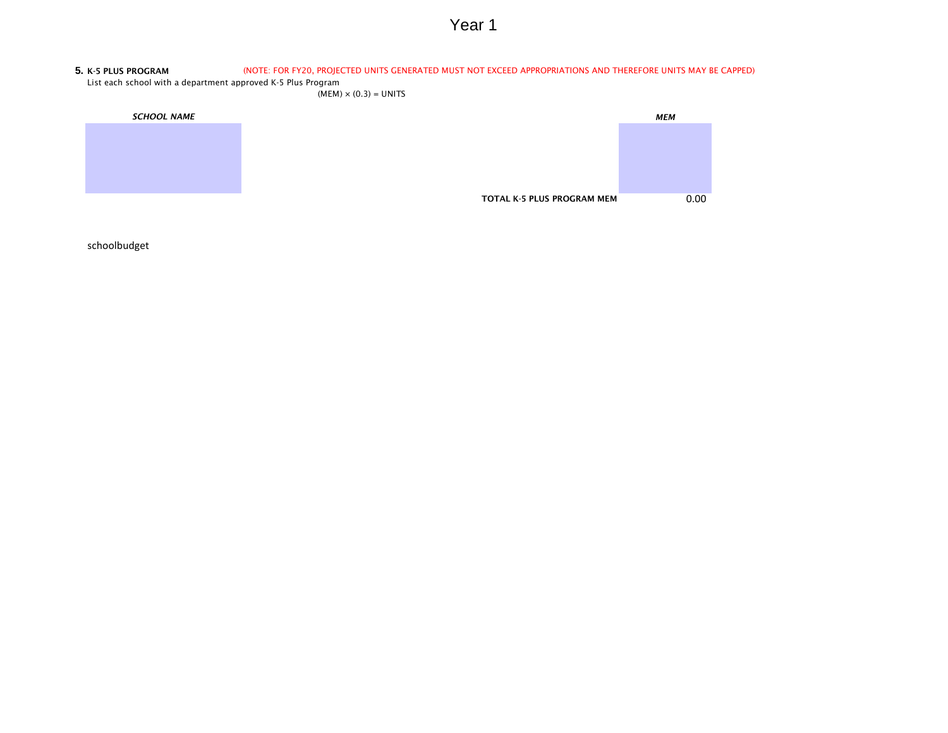#### **5.** K-5 PLUS PROGRAM (NOTE: FOR FY20, PROJECTED UNITS GENERATED MUST NOT EXCEED APPROPRIATIONS AND THEREFORE UNITS MAY BE CAPPED)

List each school with a department approved K-5 Plus Program

 $(MEM) \times (0.3) = UNITS$ 

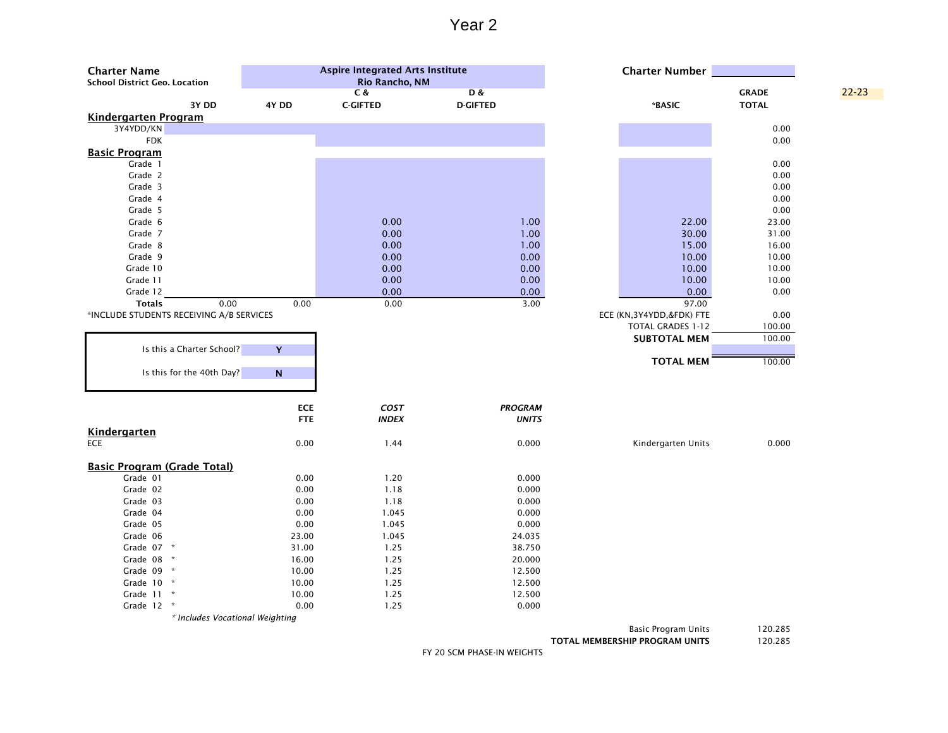| <b>Charter Name</b><br><b>School District Geo. Location</b> |            | <b>Aspire Integrated Arts Institute</b><br>Rio Rancho, NM |                 | <b>Charter Number</b>      |              |           |
|-------------------------------------------------------------|------------|-----------------------------------------------------------|-----------------|----------------------------|--------------|-----------|
|                                                             |            | C &                                                       | <b>D&amp;</b>   |                            | <b>GRADE</b> | $22 - 23$ |
| 3Y DD                                                       | 4Y DD      | <b>C-GIFTED</b>                                           | <b>D-GIFTED</b> | *BASIC                     | <b>TOTAL</b> |           |
| <b>Kindergarten Program</b><br>3Y4YDD/KN                    |            |                                                           |                 |                            | 0.00         |           |
| <b>FDK</b>                                                  |            |                                                           |                 |                            | 0.00         |           |
| <b>Basic Program</b>                                        |            |                                                           |                 |                            |              |           |
| Grade 1                                                     |            |                                                           |                 |                            | 0.00         |           |
| Grade 2                                                     |            |                                                           |                 |                            | 0.00         |           |
| Grade 3                                                     |            |                                                           |                 |                            | 0.00         |           |
| Grade 4                                                     |            |                                                           |                 |                            | 0.00         |           |
| Grade 5                                                     |            |                                                           |                 |                            | 0.00         |           |
| Grade 6                                                     |            | 0.00                                                      | 1.00            | 22.00                      | 23.00        |           |
| Grade 7                                                     |            | 0.00                                                      | 1.00            | 30.00                      | 31.00        |           |
| Grade 8                                                     |            | 0.00                                                      | 1.00            | 15.00                      | 16.00        |           |
| Grade 9                                                     |            | 0.00                                                      | 0.00            | 10.00                      | 10.00        |           |
| Grade 10                                                    |            | 0.00                                                      | 0.00            | 10.00                      | 10.00        |           |
| Grade 11                                                    |            | 0.00                                                      | 0.00            | 10.00                      | 10.00        |           |
| Grade 12                                                    |            | 0.00                                                      | 0.00            | 0.00                       | 0.00         |           |
| <b>Totals</b><br>0.00                                       | 0.00       | 0.00                                                      | 3.00            | 97.00                      |              |           |
| *INCLUDE STUDENTS RECEIVING A/B SERVICES                    |            |                                                           |                 | ECE (KN, 3Y4YDD, &FDK) FTE | 0.00         |           |
|                                                             |            |                                                           |                 | <b>TOTAL GRADES 1-12</b>   | 100.00       |           |
|                                                             |            |                                                           |                 | <b>SUBTOTAL MEM</b>        | 100.00       |           |
| Is this a Charter School?                                   | Y          |                                                           |                 |                            |              |           |
|                                                             |            |                                                           |                 | <b>TOTAL MEM</b>           | 100.00       |           |
| Is this for the 40th Day?                                   | ${\bf N}$  |                                                           |                 |                            |              |           |
|                                                             |            |                                                           |                 |                            |              |           |
|                                                             |            |                                                           |                 |                            |              |           |
|                                                             | <b>ECE</b> | COST                                                      | <b>PROGRAM</b>  |                            |              |           |
|                                                             | <b>FTE</b> | <b>INDEX</b>                                              | <b>UNITS</b>    |                            |              |           |
| <b>Kindergarten</b>                                         |            |                                                           |                 |                            |              |           |
| ECE                                                         | 0.00       | 1.44                                                      | 0.000           | Kindergarten Units         | 0.000        |           |
|                                                             |            |                                                           |                 |                            |              |           |
| <b>Basic Program (Grade Total)</b>                          |            |                                                           |                 |                            |              |           |
| Grade 01                                                    | 0.00       | 1.20                                                      | 0.000           |                            |              |           |
| Grade 02                                                    | 0.00       | 1.18                                                      | 0.000           |                            |              |           |
| Grade 03                                                    | 0.00       | 1.18                                                      | 0.000           |                            |              |           |
| Grade 04                                                    | 0.00       | 1.045                                                     | 0.000           |                            |              |           |
| Grade 05                                                    | 0.00       | 1.045                                                     | 0.000           |                            |              |           |
| Grade 06                                                    | 23.00      | 1.045                                                     | 24.035          |                            |              |           |
| Grade 07 *                                                  | 31.00      | 1.25                                                      | 38.750          |                            |              |           |
| Grade 08 *                                                  | 16.00      | 1.25                                                      | 20.000          |                            |              |           |
| Grade 09 *                                                  | 10.00      | 1.25                                                      | 12.500          |                            |              |           |
| Grade 10 *                                                  | 10.00      | 1.25                                                      | 12.500          |                            |              |           |
| Grade 11 *                                                  | 10.00      | 1.25                                                      | 12.500          |                            |              |           |
| Grade 12 *                                                  | 0.00       | 1.25                                                      | 0.000           |                            |              |           |
| * Includes Vocational Weighting                             |            |                                                           |                 |                            |              |           |

Basic Program Units 120.285

TOTAL MEMBERSHIP PROGRAM UNITS 120.285

FY 20 SCM PHASE-IN WEIGHTS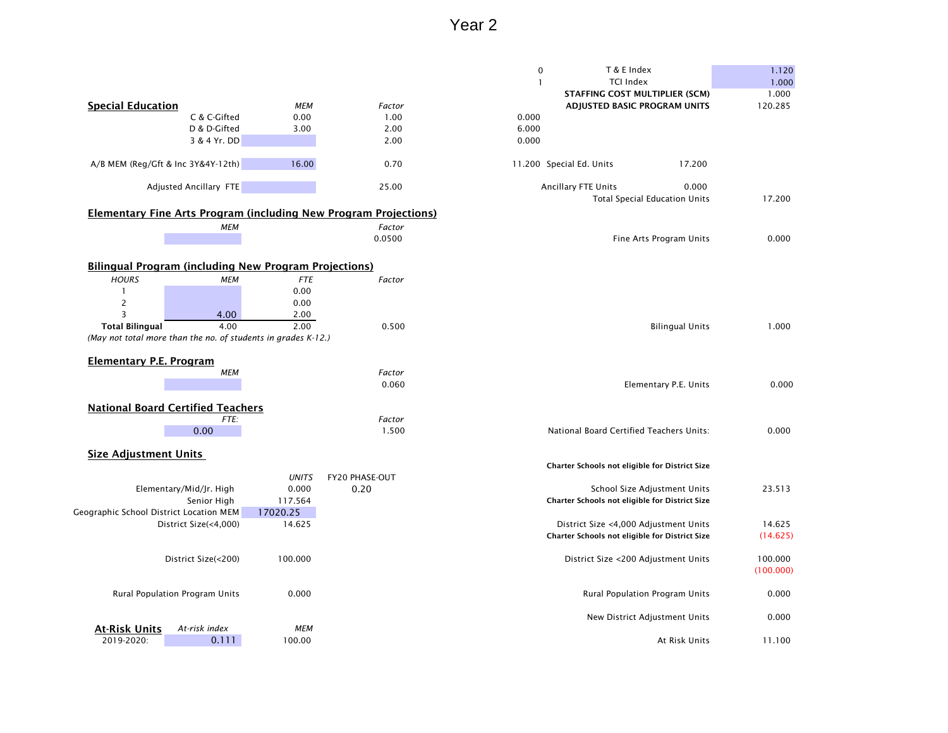|                                         |                                                               |              |                                                                         | T & E Index<br>$\pmb{0}$                       | 1.120     |
|-----------------------------------------|---------------------------------------------------------------|--------------|-------------------------------------------------------------------------|------------------------------------------------|-----------|
|                                         |                                                               |              |                                                                         | <b>TCI Index</b>                               | 1.000     |
|                                         |                                                               |              |                                                                         | <b>STAFFING COST MULTIPLIER (SCM)</b>          | 1.000     |
| <b>Special Education</b>                |                                                               | <b>MEM</b>   | Factor                                                                  | ADJUSTED BASIC PROGRAM UNITS                   | 120.285   |
|                                         | C & C-Gifted                                                  | 0.00         | 1.00                                                                    | 0.000                                          |           |
|                                         | D & D-Gifted                                                  | 3.00         | 2.00                                                                    | 6.000                                          |           |
|                                         | 3 & 4 Yr. DD                                                  |              | 2.00                                                                    | 0.000                                          |           |
|                                         |                                                               |              |                                                                         |                                                |           |
|                                         | A/B MEM (Reg/Gft & Inc 3Y&4Y-12th)                            | 16.00        | 0.70                                                                    | 11.200 Special Ed. Units<br>17.200             |           |
|                                         | Adjusted Ancillary FTE                                        |              | 25.00                                                                   | Ancillary FTE Units<br>0.000                   |           |
|                                         |                                                               |              |                                                                         | <b>Total Special Education Units</b>           | 17.200    |
|                                         |                                                               |              |                                                                         |                                                |           |
|                                         |                                                               |              | <b>Elementary Fine Arts Program (including New Program Projections)</b> |                                                |           |
|                                         | <b>MEM</b>                                                    |              | Factor                                                                  |                                                |           |
|                                         |                                                               |              | 0.0500                                                                  | Fine Arts Program Units                        | 0.000     |
|                                         |                                                               |              |                                                                         |                                                |           |
|                                         | <b>Bilingual Program (including New Program Projections)</b>  |              |                                                                         |                                                |           |
| <b>HOURS</b>                            | <b>MEM</b>                                                    | <b>FTE</b>   | Factor                                                                  |                                                |           |
|                                         |                                                               | 0.00         |                                                                         |                                                |           |
|                                         |                                                               | 0.00         |                                                                         |                                                |           |
| $\overline{2}$<br>3                     |                                                               |              |                                                                         |                                                |           |
|                                         | 4.00<br>4.00                                                  | 2.00<br>2.00 |                                                                         |                                                |           |
| <b>Total Bilingual</b>                  |                                                               |              | 0.500                                                                   | <b>Bilingual Units</b>                         | 1.000     |
|                                         | (May not total more than the no. of students in grades K-12.) |              |                                                                         |                                                |           |
|                                         |                                                               |              |                                                                         |                                                |           |
| <b>Elementary P.E. Program</b>          |                                                               |              |                                                                         |                                                |           |
|                                         | <b>MEM</b>                                                    |              | Factor                                                                  |                                                |           |
|                                         |                                                               |              | 0.060                                                                   | Elementary P.E. Units                          | 0.000     |
|                                         |                                                               |              |                                                                         |                                                |           |
|                                         | <b>National Board Certified Teachers</b>                      |              |                                                                         |                                                |           |
|                                         | FTE:                                                          |              | Factor                                                                  |                                                |           |
|                                         | 0.00                                                          |              | 1.500                                                                   | National Board Certified Teachers Units:       | 0.000     |
|                                         |                                                               |              |                                                                         |                                                |           |
| <b>Size Adjustment Units</b>            |                                                               |              |                                                                         |                                                |           |
|                                         |                                                               |              |                                                                         | Charter Schools not eligible for District Size |           |
|                                         |                                                               | <b>UNITS</b> | <b>FY20 PHASE-OUT</b>                                                   |                                                |           |
|                                         | Elementary/Mid/Jr. High                                       | 0.000        | 0.20                                                                    | School Size Adjustment Units                   | 23.513    |
|                                         | Senior High                                                   | 117.564      |                                                                         | Charter Schools not eligible for District Size |           |
| Geographic School District Location MEM |                                                               | 17020.25     |                                                                         |                                                |           |
|                                         | District Size(<4,000)                                         | 14.625       |                                                                         | District Size <4,000 Adjustment Units          | 14.625    |
|                                         |                                                               |              |                                                                         | Charter Schools not eligible for District Size | (14.625)  |
|                                         |                                                               |              |                                                                         |                                                |           |
|                                         | District Size(<200)                                           | 100.000      |                                                                         | District Size <200 Adjustment Units            | 100.000   |
|                                         |                                                               |              |                                                                         |                                                | (100.000) |
|                                         |                                                               |              |                                                                         |                                                |           |
|                                         | Rural Population Program Units                                | 0.000        |                                                                         | Rural Population Program Units                 | 0.000     |
|                                         |                                                               |              |                                                                         |                                                |           |
|                                         |                                                               |              |                                                                         | New District Adjustment Units                  | 0.000     |
| <b>At-Risk Units</b>                    | At-risk index                                                 | <b>MEM</b>   |                                                                         |                                                |           |
| 2019-2020:                              | 0.111                                                         | 100.00       |                                                                         | At Risk Units                                  | 11.100    |
|                                         |                                                               |              |                                                                         |                                                |           |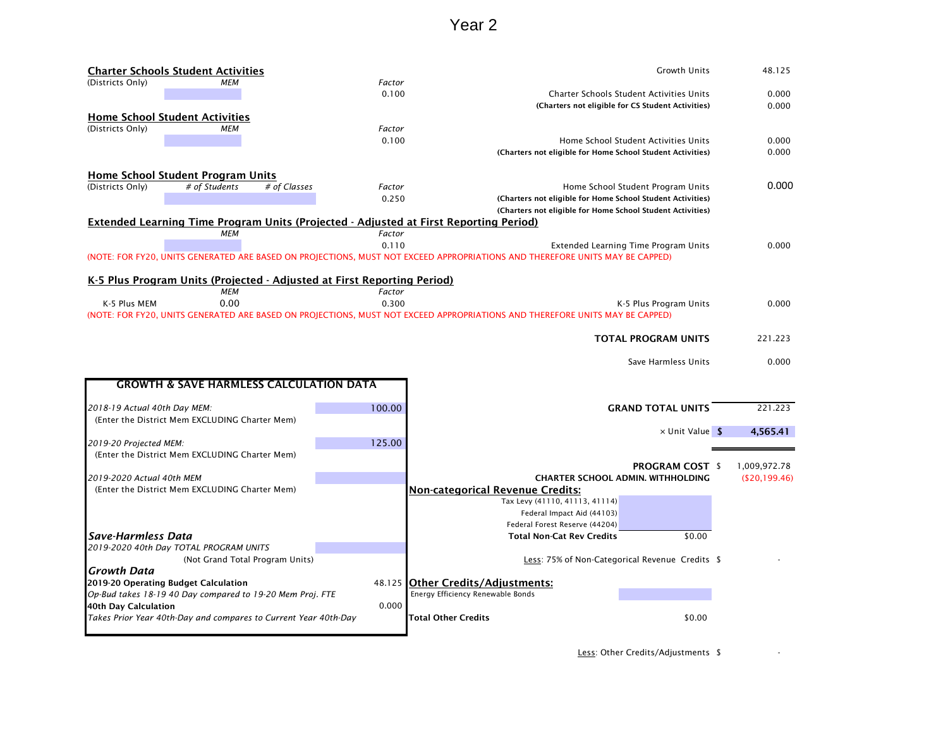|                              | <b>Charter Schools Student Activities</b>                               |              |        | <b>Growth Units</b>                                                                                                          | 48.125        |
|------------------------------|-------------------------------------------------------------------------|--------------|--------|------------------------------------------------------------------------------------------------------------------------------|---------------|
| (Districts Only)             | МЕМ                                                                     |              | Factor |                                                                                                                              |               |
|                              |                                                                         |              | 0.100  | Charter Schools Student Activities Units                                                                                     | 0.000         |
|                              |                                                                         |              |        | (Charters not eligible for CS Student Activities)                                                                            | 0.000         |
|                              | <b>Home School Student Activities</b>                                   |              |        |                                                                                                                              |               |
| (Districts Only)             | <b>MEM</b>                                                              |              | Factor |                                                                                                                              |               |
|                              |                                                                         |              | 0.100  | Home School Student Activities Units                                                                                         | 0.000         |
|                              |                                                                         |              |        | (Charters not eligible for Home School Student Activities)                                                                   | 0.000         |
|                              | <b>Home School Student Program Units</b>                                |              |        |                                                                                                                              |               |
| (Districts Only)             | # of Students                                                           | # of Classes | Factor | Home School Student Program Units                                                                                            | 0.000         |
|                              |                                                                         |              | 0.250  | (Charters not eligible for Home School Student Activities)                                                                   |               |
|                              |                                                                         |              |        | (Charters not eligible for Home School Student Activities)                                                                   |               |
|                              |                                                                         |              |        | <b>Extended Learning Time Program Units (Projected - Adjusted at First Reporting Period)</b>                                 |               |
|                              | <b>MEM</b>                                                              |              | Factor |                                                                                                                              |               |
|                              |                                                                         |              | 0.110  | Extended Learning Time Program Units                                                                                         | 0.000         |
|                              |                                                                         |              |        | (NOTE: FOR FY20, UNITS GENERATED ARE BASED ON PROJECTIONS, MUST NOT EXCEED APPROPRIATIONS AND THEREFORE UNITS MAY BE CAPPED) |               |
|                              |                                                                         |              |        |                                                                                                                              |               |
|                              | K-5 Plus Program Units (Projected - Adjusted at First Reporting Period) |              |        |                                                                                                                              |               |
|                              | МЕМ                                                                     |              | Factor |                                                                                                                              |               |
| K-5 Plus MEM                 | 0.00                                                                    |              | 0.300  | K-5 Plus Program Units                                                                                                       | 0.000         |
|                              |                                                                         |              |        | (NOTE: FOR FY20, UNITS GENERATED ARE BASED ON PROJECTIONS, MUST NOT EXCEED APPROPRIATIONS AND THEREFORE UNITS MAY BE CAPPED) |               |
|                              |                                                                         |              |        | <b>TOTAL PROGRAM UNITS</b>                                                                                                   | 221.223       |
|                              |                                                                         |              |        |                                                                                                                              |               |
|                              |                                                                         |              |        | Save Harmless Units                                                                                                          | 0.000         |
|                              |                                                                         |              |        |                                                                                                                              |               |
|                              | <b>GROWTH &amp; SAVE HARMLESS CALCULATION DATA</b>                      |              |        |                                                                                                                              |               |
|                              |                                                                         |              |        |                                                                                                                              |               |
| 2018-19 Actual 40th Day MEM: |                                                                         |              | 100.00 | <b>GRAND TOTAL UNITS</b>                                                                                                     | 221.223       |
|                              | (Enter the District Mem EXCLUDING Charter Mem)                          |              |        |                                                                                                                              |               |
|                              |                                                                         |              |        | $\times$ Unit Value \$                                                                                                       | 4,565.41      |
| 2019-20 Projected MEM:       |                                                                         |              | 125.00 |                                                                                                                              |               |
|                              | (Enter the District Mem EXCLUDING Charter Mem)                          |              |        |                                                                                                                              |               |
|                              |                                                                         |              |        | <b>PROGRAM COST \$</b>                                                                                                       | 1,009,972.78  |
| 2019-2020 Actual 40th MEM    |                                                                         |              |        | <b>CHARTER SCHOOL ADMIN. WITHHOLDING</b>                                                                                     | (\$20,199.46) |
|                              | (Enter the District Mem EXCLUDING Charter Mem)                          |              |        | <b>Non-categorical Revenue Credits:</b>                                                                                      |               |
|                              |                                                                         |              |        | Tax Levy (41110, 41113, 41114)                                                                                               |               |
|                              |                                                                         |              |        | Federal Impact Aid (44103)                                                                                                   |               |
|                              |                                                                         |              |        | Federal Forest Reserve (44204)                                                                                               |               |
| Save-Harmless Data           |                                                                         |              |        | \$0.00<br><b>Total Non-Cat Rev Credits</b>                                                                                   |               |
|                              | 2019-2020 40th Day TOTAL PROGRAM UNITS                                  |              |        |                                                                                                                              |               |
|                              | (Not Grand Total Program Units)                                         |              |        | Less: 75% of Non-Categorical Revenue Credits \$                                                                              |               |
| <b>Growth Data</b>           |                                                                         |              |        |                                                                                                                              |               |
|                              | 2019-20 Operating Budget Calculation                                    |              |        | 48.125 Other Credits/Adjustments:                                                                                            |               |
|                              | Op-Bud takes 18-19 40 Day compared to 19-20 Mem Proj. FTE               |              |        | Energy Efficiency Renewable Bonds                                                                                            |               |
| 40th Day Calculation         |                                                                         |              | 0.000  |                                                                                                                              |               |
|                              | Takes Prior Year 40th-Day and compares to Current Year 40th-Day         |              |        | \$0.00<br>Total Other Credits                                                                                                |               |
|                              |                                                                         |              |        |                                                                                                                              |               |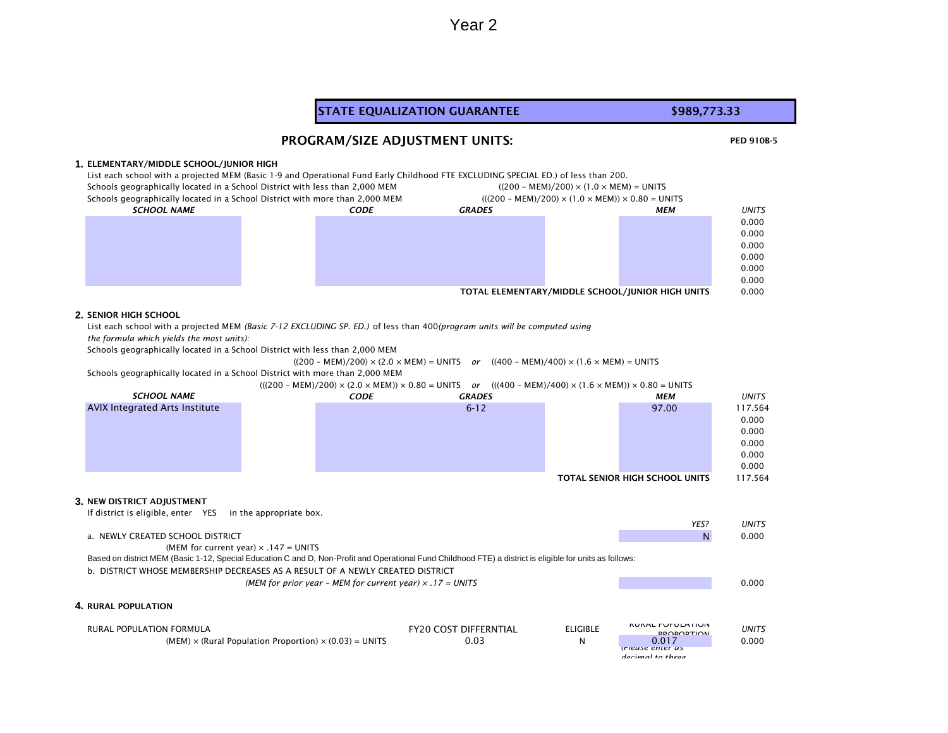#### PED 910B-5 **1.** ELEMENTARY/MIDDLE SCHOOL/JUNIOR HIGH List each school with a projected MEM (Basic 1-9 and Operational Fund Early Childhood FTE EXCLUDING SPECIAL ED.) of less than 200. Schools geographically located in a School District with less than 2,000 MEM ((200 – MEM)/200) × (1.0 × MEM) = UNITS Schools geographically located in a School District with more than 2,000 MEM (((200 - MEM)/200) × (1.0 × MEM)) × 0.80 = UNITS *CODE GRADES MEM UNITS* 0.000 0.000 0.000 0.000 0.000 0.000 TOTAL ELEMENTARY/MIDDLE SCHOOL/JUNIOR HIGH UNITS 0.000 **2.** SENIOR HIGH SCHOOL List each school with a projected MEM *(Basic 7-12 EXCLUDING SP. ED.)* of less than 400*(program units will be computed using the formula which yields the most units):*  Schools geographically located in a School District with less than 2,000 MEM  $((200 - MEM)/200) \times (2.0 \times MEM) = UNITS$  *or*  $((400 - MEM)/400) \times (1.6 \times MEM) = UNITS$ Schools geographically located in a School District with more than 2,000 MEM (((200 – MEM)/200) × (2.0 × MEM)) × 0.80 = UNITS *or* (((400 – MEM)/400) × (1.6 × MEM)) × 0.80 = UNITS *CODE GRADES MEM UNITS* 6-12 97.00 117.564 0.000 0.000 0.000 0.000 0.000 TOTAL SENIOR HIGH SCHOOL UNITS 117.564 **3.** NEW DISTRICT ADJUSTMENT If district is eligible, enter YES in the appropriate box. *YES? UNITS* a. NEWLY CREATED SCHOOL DISTRICT AND RESOLUTION OF A RESOLUTION OF A RESOLUTION OF A RESOLUTION OF A RESOLUTION O (MEM for current year)  $\times$  .147 = UNITS b. DISTRICT WHOSE MEMBERSHIP DECREASES AS A RESULT OF A NEWLY CREATED DISTRICT *(MEM for prior year – MEM for current year) × .17 = UNITS* 0.000 **4.** RURAL POPULATION RURAL POPULATION FORMULA FRANCHISE ELIGIBLE FRANCHISE ELIGIBLE FRANCHISES AND RESPONSIVE ON A REPORT OF THE RUR<br>FRANCHISE ELIGIBLE PROPORTION *UNITS*  $(MEM) \times (Rural Population Proportion) \times (0.03) = UNITS$  0.03 0.03 *(Please enter as decimal to three*  STATE EQUALIZATION GUARANTEE **\$989,773.33** PROGRAM/SIZE ADJUSTMENT UNITS: *SCHOOL NAME SCHOOL NAME* AVIX Integrated Arts Institute Based on district MEM (Basic 1-12, Special Education C and D, Non-Profit and Operational Fund Childhood FTE) a district is eligible for units as follows: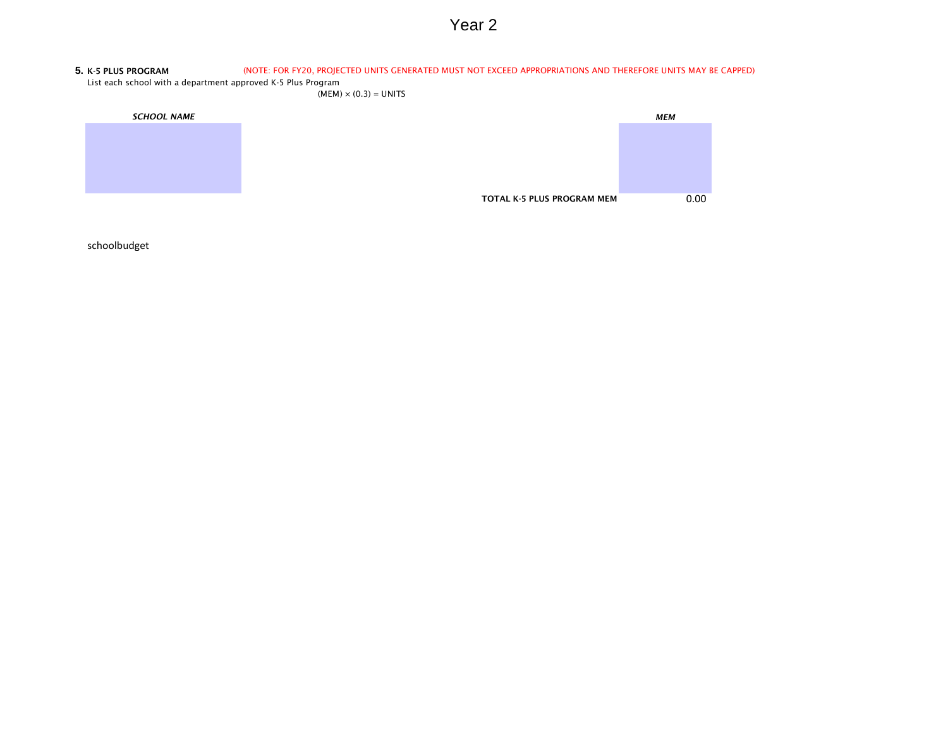#### **5.** K-5 PLUS PROGRAM (NOTE: FOR FY20, PROJECTED UNITS GENERATED MUST NOT EXCEED APPROPRIATIONS AND THEREFORE UNITS MAY BE CAPPED)

List each school with a department approved K-5 Plus Program

 $(MEM) \times (0.3) = UNITS$ 

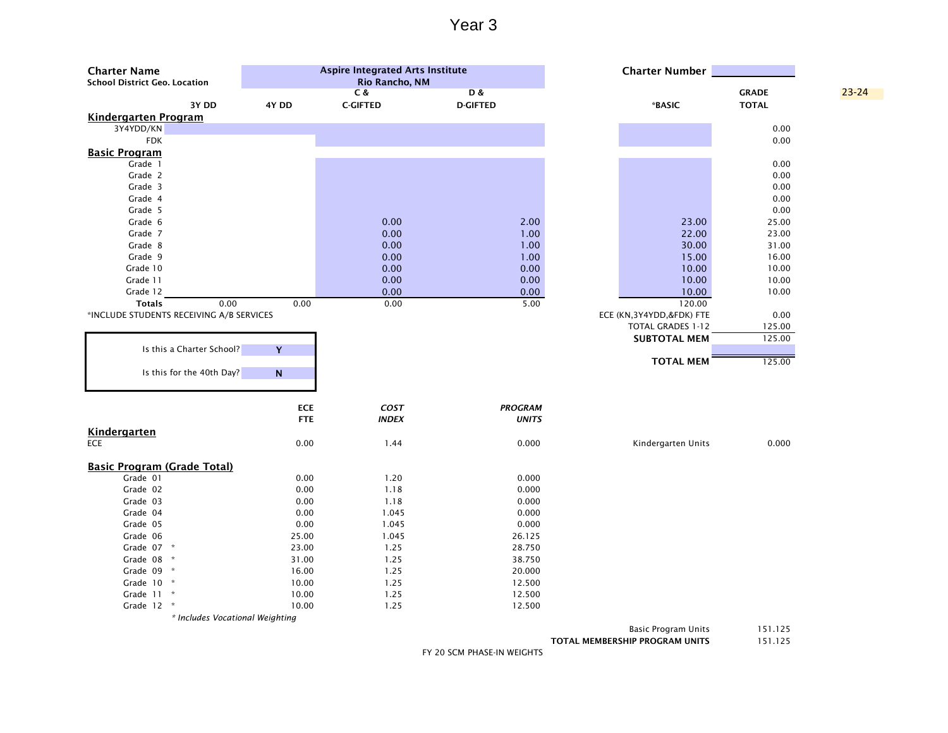| <b>Charter Name</b><br><b>School District Geo. Location</b> |                           | <b>Aspire Integrated Arts Institute</b><br>Rio Rancho, NM |                                  | <b>Charter Number</b>    |                              |           |
|-------------------------------------------------------------|---------------------------|-----------------------------------------------------------|----------------------------------|--------------------------|------------------------------|-----------|
| 3Y DD                                                       | 4Y DD                     | C &<br><b>C-GIFTED</b>                                    | <b>D&amp;</b><br><b>D-GIFTED</b> | *BASIC                   | <b>GRADE</b><br><b>TOTAL</b> | $23 - 24$ |
| <b>Kindergarten Program</b>                                 |                           |                                                           |                                  |                          |                              |           |
| 3Y4YDD/KN                                                   |                           |                                                           |                                  |                          | 0.00                         |           |
| <b>FDK</b>                                                  |                           |                                                           |                                  |                          | 0.00                         |           |
| <b>Basic Program</b>                                        |                           |                                                           |                                  |                          |                              |           |
| Grade 1                                                     |                           |                                                           |                                  |                          | 0.00                         |           |
| Grade 2                                                     |                           |                                                           |                                  |                          | 0.00                         |           |
| Grade 3                                                     |                           |                                                           |                                  |                          | 0.00                         |           |
| Grade 4                                                     |                           |                                                           |                                  |                          | 0.00                         |           |
| Grade 5                                                     |                           |                                                           |                                  |                          | 0.00                         |           |
| Grade 6                                                     |                           | 0.00                                                      | 2.00                             | 23.00                    | 25.00                        |           |
| Grade 7                                                     |                           | 0.00                                                      | 1.00                             | 22.00                    | 23.00                        |           |
| Grade 8                                                     |                           | 0.00                                                      | 1.00                             | 30.00                    | 31.00                        |           |
| Grade 9                                                     |                           | 0.00                                                      | 1.00                             | 15.00                    | 16.00                        |           |
| Grade 10                                                    |                           | 0.00                                                      | 0.00                             | 10.00                    | 10.00                        |           |
| Grade 11                                                    |                           | 0.00                                                      | 0.00                             | 10.00                    | 10.00                        |           |
| Grade 12                                                    |                           | 0.00                                                      | 0.00                             | 10.00                    | 10.00                        |           |
| <b>Totals</b><br>0.00                                       | 0.00                      | 0.00                                                      | 5.00                             | 120.00                   |                              |           |
| *INCLUDE STUDENTS RECEIVING A/B SERVICES                    |                           |                                                           |                                  | ECE (KN,3Y4YDD,&FDK) FTE | 0.00                         |           |
|                                                             |                           |                                                           |                                  | TOTAL GRADES 1-12        | 125.00                       |           |
|                                                             |                           |                                                           |                                  | <b>SUBTOTAL MEM</b>      | 125.00                       |           |
| Is this a Charter School?                                   | Y                         |                                                           |                                  |                          |                              |           |
|                                                             |                           |                                                           |                                  | <b>TOTAL MEM</b>         | 125.00                       |           |
| Is this for the 40th Day?                                   | $\boldsymbol{\mathsf{N}}$ |                                                           |                                  |                          |                              |           |
|                                                             |                           |                                                           |                                  |                          |                              |           |
|                                                             |                           |                                                           |                                  |                          |                              |           |
|                                                             | <b>ECE</b>                | COST                                                      | <b>PROGRAM</b>                   |                          |                              |           |
|                                                             | <b>FTE</b>                | <b>INDEX</b>                                              | <b>UNITS</b>                     |                          |                              |           |
| <b>Kindergarten</b>                                         |                           |                                                           |                                  |                          |                              |           |
| <b>ECE</b>                                                  | 0.00                      | 1.44                                                      | 0.000                            | Kindergarten Units       | 0.000                        |           |
|                                                             |                           |                                                           |                                  |                          |                              |           |
| <b>Basic Program (Grade Total)</b>                          |                           |                                                           |                                  |                          |                              |           |
| Grade 01                                                    | 0.00                      | 1.20                                                      | 0.000                            |                          |                              |           |
| Grade 02                                                    | 0.00                      | 1.18                                                      | 0.000                            |                          |                              |           |
| Grade 03                                                    | 0.00                      | 1.18                                                      | 0.000                            |                          |                              |           |
| Grade 04                                                    | 0.00                      | 1.045                                                     | 0.000                            |                          |                              |           |
| Grade 05                                                    | 0.00                      | 1.045                                                     | 0.000                            |                          |                              |           |
| Grade 06                                                    | 25.00                     | 1.045                                                     | 26.125                           |                          |                              |           |
| Grade 07 *                                                  | 23.00                     | 1.25                                                      | 28.750                           |                          |                              |           |
| Grade 08 *                                                  | 31.00                     | 1.25                                                      | 38.750                           |                          |                              |           |
| Grade 09 *                                                  | 16.00                     | 1.25                                                      | 20.000                           |                          |                              |           |
| Grade 10 *                                                  | 10.00                     | 1.25                                                      | 12.500                           |                          |                              |           |
| Grade 11 *                                                  | 10.00                     | 1.25                                                      | 12.500                           |                          |                              |           |
| Grade 12 *                                                  | 10.00                     | 1.25                                                      | 12.500                           |                          |                              |           |
| * Includes Vocational Weighting                             |                           |                                                           |                                  |                          |                              |           |

Basic Program Units 151.125

FY 20 SCM PHASE-IN WEIGHTS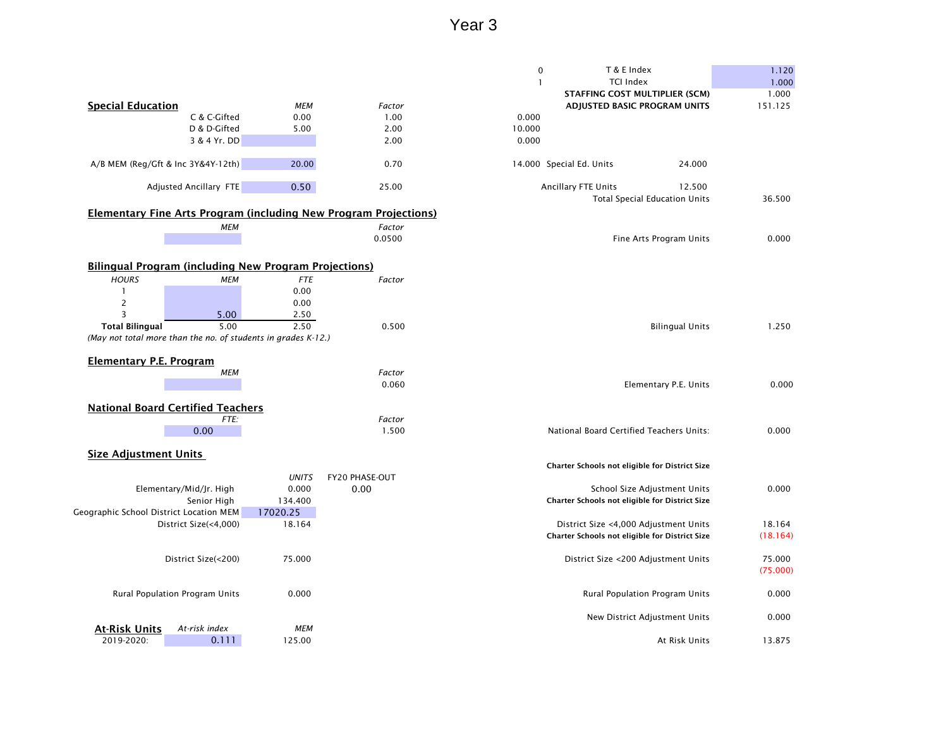|                                                               |                                |              |                                                                         | $\pmb{0}$    | T & E Index                                    |                                      | 1.120    |
|---------------------------------------------------------------|--------------------------------|--------------|-------------------------------------------------------------------------|--------------|------------------------------------------------|--------------------------------------|----------|
|                                                               |                                |              |                                                                         | $\mathbf{1}$ | <b>TCI Index</b>                               |                                      | 1.000    |
|                                                               |                                |              |                                                                         |              | <b>STAFFING COST MULTIPLIER (SCM)</b>          |                                      | 1.000    |
| <b>Special Education</b>                                      |                                | <b>MEM</b>   | Factor                                                                  |              | ADJUSTED BASIC PROGRAM UNITS                   |                                      | 151.125  |
|                                                               | C & C-Gifted                   | 0.00         | 1.00                                                                    | 0.000        |                                                |                                      |          |
|                                                               | D & D-Gifted                   | 5.00         | 2.00                                                                    | 10.000       |                                                |                                      |          |
|                                                               | 3 & 4 Yr. DD                   |              | 2.00                                                                    | 0.000        |                                                |                                      |          |
|                                                               |                                |              |                                                                         |              |                                                |                                      |          |
| A/B MEM (Reg/Gft & Inc 3Y&4Y-12th)                            |                                | 20.00        | 0.70                                                                    |              | 14.000 Special Ed. Units                       | 24.000                               |          |
|                                                               | Adjusted Ancillary FTE         | 0.50         | 25.00                                                                   |              | Ancillary FTE Units                            | 12.500                               |          |
|                                                               |                                |              |                                                                         |              |                                                | <b>Total Special Education Units</b> | 36.500   |
|                                                               |                                |              | <b>Elementary Fine Arts Program (including New Program Projections)</b> |              |                                                |                                      |          |
|                                                               | <b>MEM</b>                     |              | Factor                                                                  |              |                                                |                                      |          |
|                                                               |                                |              | 0.0500                                                                  |              |                                                | Fine Arts Program Units              | 0.000    |
|                                                               |                                |              |                                                                         |              |                                                |                                      |          |
| <b>Bilingual Program (including New Program Projections)</b>  |                                |              |                                                                         |              |                                                |                                      |          |
|                                                               |                                |              |                                                                         |              |                                                |                                      |          |
| <b>HOURS</b>                                                  | <b>MEM</b>                     | <b>FTE</b>   | Factor                                                                  |              |                                                |                                      |          |
|                                                               |                                | 0.00         |                                                                         |              |                                                |                                      |          |
| 2<br>$\overline{3}$                                           |                                | 0.00         |                                                                         |              |                                                |                                      |          |
|                                                               | 5.00<br>5.00                   | 2.50<br>2.50 |                                                                         |              |                                                |                                      |          |
| <b>Total Bilingual</b>                                        |                                |              | 0.500                                                                   |              |                                                | <b>Bilingual Units</b>               | 1.250    |
| (May not total more than the no. of students in grades K-12.) |                                |              |                                                                         |              |                                                |                                      |          |
| <b>Elementary P.E. Program</b>                                |                                |              |                                                                         |              |                                                |                                      |          |
|                                                               | <b>MEM</b>                     |              | Factor                                                                  |              |                                                |                                      |          |
|                                                               |                                |              | 0.060                                                                   |              |                                                | Elementary P.E. Units                | 0.000    |
|                                                               |                                |              |                                                                         |              |                                                |                                      |          |
| <b>National Board Certified Teachers</b>                      |                                |              |                                                                         |              |                                                |                                      |          |
|                                                               | FTE:                           |              | Factor                                                                  |              |                                                |                                      |          |
|                                                               | 0.00                           |              | 1.500                                                                   |              | National Board Certified Teachers Units:       |                                      | 0.000    |
|                                                               |                                |              |                                                                         |              |                                                |                                      |          |
| <b>Size Adjustment Units</b>                                  |                                |              |                                                                         |              |                                                |                                      |          |
|                                                               |                                |              |                                                                         |              | Charter Schools not eligible for District Size |                                      |          |
|                                                               |                                | <b>UNITS</b> | FY20 PHASE-OUT                                                          |              |                                                |                                      |          |
|                                                               | Elementary/Mid/Jr. High        | 0.000        | 0.00                                                                    |              |                                                | School Size Adjustment Units         | 0.000    |
|                                                               | Senior High                    | 134.400      |                                                                         |              | Charter Schools not eligible for District Size |                                      |          |
| Geographic School District Location MEM                       |                                | 17020.25     |                                                                         |              |                                                |                                      |          |
|                                                               | District Size(<4,000)          | 18.164       |                                                                         |              | District Size <4,000 Adjustment Units          |                                      | 18.164   |
|                                                               |                                |              |                                                                         |              | Charter Schools not eligible for District Size |                                      | (18.164) |
|                                                               |                                |              |                                                                         |              |                                                |                                      |          |
|                                                               | District Size(<200)            | 75.000       |                                                                         |              | District Size <200 Adjustment Units            |                                      | 75.000   |
|                                                               |                                |              |                                                                         |              |                                                |                                      | (75.000) |
|                                                               |                                |              |                                                                         |              |                                                |                                      |          |
|                                                               | Rural Population Program Units | 0.000        |                                                                         |              | Rural Population Program Units                 |                                      | 0.000    |
|                                                               |                                |              |                                                                         |              | New District Adjustment Units                  |                                      | 0.000    |
| <b>At-Risk Units</b>                                          | At-risk index                  | <b>MEM</b>   |                                                                         |              |                                                |                                      |          |
| 2019-2020:                                                    | 0.111                          | 125.00       |                                                                         |              |                                                | At Risk Units                        | 13.875   |
|                                                               |                                |              |                                                                         |              |                                                |                                      |          |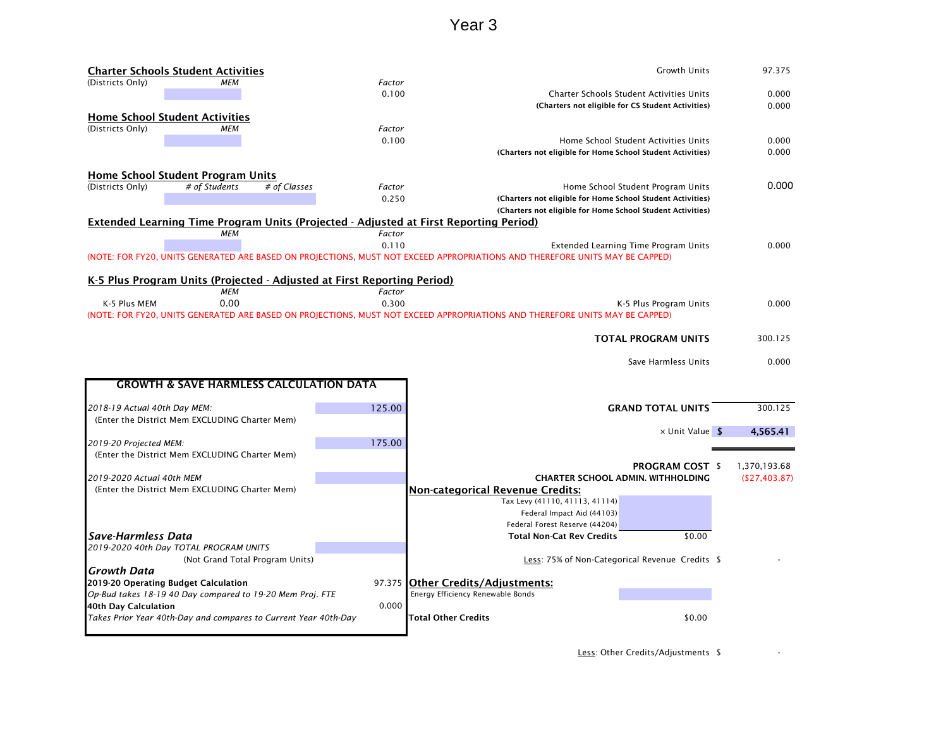|                              | <b>Charter Schools Student Activities</b>                               |              |        | <b>Growth Units</b>                                                                                                          | 97.375        |
|------------------------------|-------------------------------------------------------------------------|--------------|--------|------------------------------------------------------------------------------------------------------------------------------|---------------|
| (Districts Only)             | MEM                                                                     |              | Factor |                                                                                                                              |               |
|                              |                                                                         |              | 0.100  | Charter Schools Student Activities Units                                                                                     | 0.000         |
|                              |                                                                         |              |        | (Charters not eligible for CS Student Activities)                                                                            | 0.000         |
|                              | <b>Home School Student Activities</b>                                   |              |        |                                                                                                                              |               |
| (Districts Only)             | <b>MEM</b>                                                              |              | Factor |                                                                                                                              |               |
|                              |                                                                         |              | 0.100  | Home School Student Activities Units                                                                                         | 0.000         |
|                              |                                                                         |              |        | (Charters not eligible for Home School Student Activities)                                                                   | 0.000         |
|                              |                                                                         |              |        |                                                                                                                              |               |
| (Districts Only)             | <b>Home School Student Program Units</b><br># of Students               | # of Classes | Factor | Home School Student Program Units                                                                                            | 0.000         |
|                              |                                                                         |              | 0.250  | (Charters not eligible for Home School Student Activities)                                                                   |               |
|                              |                                                                         |              |        | (Charters not eligible for Home School Student Activities)                                                                   |               |
|                              |                                                                         |              |        | <b>Extended Learning Time Program Units (Projected - Adjusted at First Reporting Period)</b>                                 |               |
|                              | <b>MEM</b>                                                              |              | Factor |                                                                                                                              |               |
|                              |                                                                         |              | 0.110  | Extended Learning Time Program Units                                                                                         | 0.000         |
|                              |                                                                         |              |        | (NOTE: FOR FY20, UNITS GENERATED ARE BASED ON PROJECTIONS, MUST NOT EXCEED APPROPRIATIONS AND THEREFORE UNITS MAY BE CAPPED) |               |
|                              |                                                                         |              |        |                                                                                                                              |               |
|                              | K-5 Plus Program Units (Projected - Adjusted at First Reporting Period) |              |        |                                                                                                                              |               |
|                              | <b>MEM</b>                                                              |              | Factor |                                                                                                                              |               |
| K-5 Plus MEM                 | 0.00                                                                    |              | 0.300  | K-5 Plus Program Units                                                                                                       | 0.000         |
|                              |                                                                         |              |        | (NOTE: FOR FY20, UNITS GENERATED ARE BASED ON PROJECTIONS, MUST NOT EXCEED APPROPRIATIONS AND THEREFORE UNITS MAY BE CAPPED) |               |
|                              |                                                                         |              |        |                                                                                                                              |               |
|                              |                                                                         |              |        | <b>TOTAL PROGRAM UNITS</b>                                                                                                   | 300.125       |
|                              |                                                                         |              |        |                                                                                                                              |               |
|                              |                                                                         |              |        | Save Harmless Units                                                                                                          | 0.000         |
|                              | <b>GROWTH &amp; SAVE HARMLESS CALCULATION DATA</b>                      |              |        |                                                                                                                              |               |
|                              |                                                                         |              |        |                                                                                                                              |               |
| 2018-19 Actual 40th Day MEM: |                                                                         |              | 125.00 | <b>GRAND TOTAL UNITS</b>                                                                                                     | 300.125       |
|                              | (Enter the District Mem EXCLUDING Charter Mem)                          |              |        |                                                                                                                              |               |
|                              |                                                                         |              |        | $\times$ Unit Value \$                                                                                                       | 4,565.41      |
| 2019-20 Projected MEM:       |                                                                         |              | 175.00 |                                                                                                                              |               |
|                              | (Enter the District Mem EXCLUDING Charter Mem)                          |              |        |                                                                                                                              |               |
|                              |                                                                         |              |        | <b>PROGRAM COST \$</b>                                                                                                       | 1,370,193.68  |
| 2019-2020 Actual 40th MEM    |                                                                         |              |        | <b>CHARTER SCHOOL ADMIN. WITHHOLDING</b>                                                                                     | (\$27,403.87) |
|                              | (Enter the District Mem EXCLUDING Charter Mem)                          |              |        | <b>Non-categorical Revenue Credits:</b>                                                                                      |               |
|                              |                                                                         |              |        | Tax Levy (41110, 41113, 41114)                                                                                               |               |
|                              |                                                                         |              |        | Federal Impact Aid (44103)                                                                                                   |               |
|                              |                                                                         |              |        | Federal Forest Reserve (44204)                                                                                               |               |
| Save-Harmless Data           |                                                                         |              |        | <b>Total Non-Cat Rev Credits</b><br>\$0.00                                                                                   |               |
|                              | 2019-2020 40th Day TOTAL PROGRAM UNITS                                  |              |        |                                                                                                                              |               |
|                              | (Not Grand Total Program Units)                                         |              |        | Less: 75% of Non-Categorical Revenue Credits \$                                                                              |               |
| Growth Data                  |                                                                         |              |        |                                                                                                                              |               |
|                              | 2019-20 Operating Budget Calculation                                    |              |        | 97.375 Other Credits/Adjustments:                                                                                            |               |
|                              |                                                                         |              |        |                                                                                                                              |               |
|                              | Op-Bud takes 18-19 40 Day compared to 19-20 Mem Proj. FTE               |              |        | Energy Efficiency Renewable Bonds                                                                                            |               |
| 40th Day Calculation         |                                                                         |              | 0.000  |                                                                                                                              |               |
|                              | Takes Prior Year 40th-Day and compares to Current Year 40th-Day         |              |        | \$0.00<br>Total Other Credits                                                                                                |               |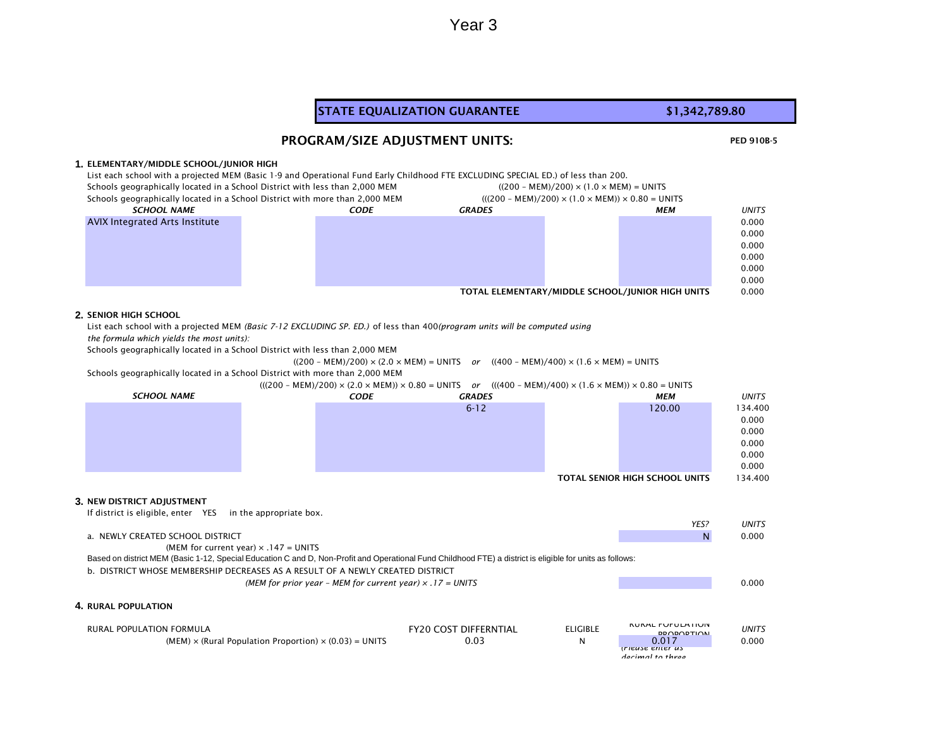#### PED 910B-5 **1.** ELEMENTARY/MIDDLE SCHOOL/JUNIOR HIGH List each school with a projected MEM (Basic 1-9 and Operational Fund Early Childhood FTE EXCLUDING SPECIAL ED.) of less than 200. Schools geographically located in a School District with less than 2,000 MEM ((200 – MEM)/200) × (1.0 × MEM) = UNITS Schools geographically located in a School District with more than 2,000 MEM (((200 – MEM)/200) × (1.0 × MEM)) × 0.80 = UNITS *CODE GRADES MEM UNITS* 0.000 0.000 0.000 0.000 0.000 0.000 TOTAL ELEMENTARY/MIDDLE SCHOOL/JUNIOR HIGH UNITS 0.000 **2.** SENIOR HIGH SCHOOL List each school with a projected MEM *(Basic 7-12 EXCLUDING SP. ED.)* of less than 400*(program units will be computed using the formula which yields the most units):*  Schools geographically located in a School District with less than 2,000 MEM  $((200 - MEM)/200) \times (2.0 \times MEM) = UNITS$  *or*  $((400 - MEM)/400) \times (1.6 \times MEM) = UNITS$ Schools geographically located in a School District with more than 2,000 MEM (((200 – MEM)/200) × (2.0 × MEM)) × 0.80 = UNITS *or* (((400 – MEM)/400) × (1.6 × MEM)) × 0.80 = UNITS *CODE GRADES MEM UNITS* 6-12 120.00 134.400 0.000 0.000 0.000 0.000 0.000 TOTAL SENIOR HIGH SCHOOL UNITS 134.400 **3.** NEW DISTRICT ADJUSTMENT If district is eligible, enter YES in the appropriate box. *YES? UNITS* a. NEWLY CREATED SCHOOL DISTRICT AND RESOLUTION OF A RESOLUTION OF A RESOLUTION OF A RESOLUTION OF A RESOLUTION O (MEM for current year)  $\times$  .147 = UNITS b. DISTRICT WHOSE MEMBERSHIP DECREASES AS A RESULT OF A NEWLY CREATED DISTRICT *(MEM for prior year – MEM for current year) × .17 = UNITS* 0.000 **4.** RURAL POPULATION RURAL POPULATION FORMULA FRANCHISE ELIGIBLE FRANCHISE ELIGIBLE FRANCHISES AND RESPONSIVE ON A REPORT OF THE RUR<br>FRANCHISE ELIGIBLE PROPORTION *UNITS*  $(MEM) \times (Rural Population Proportion) \times (0.03) = UNITS$  0.03 0.03 *(Please enter as decimal to three*  STATE EQUALIZATION GUARANTEE **\$1,342,789.80** PROGRAM/SIZE ADJUSTMENT UNITS: *SCHOOL NAME* AVIX Integrated Arts Institute *SCHOOL NAME* Based on district MEM (Basic 1-12, Special Education C and D, Non-Profit and Operational Fund Childhood FTE) a district is eligible for units as follows: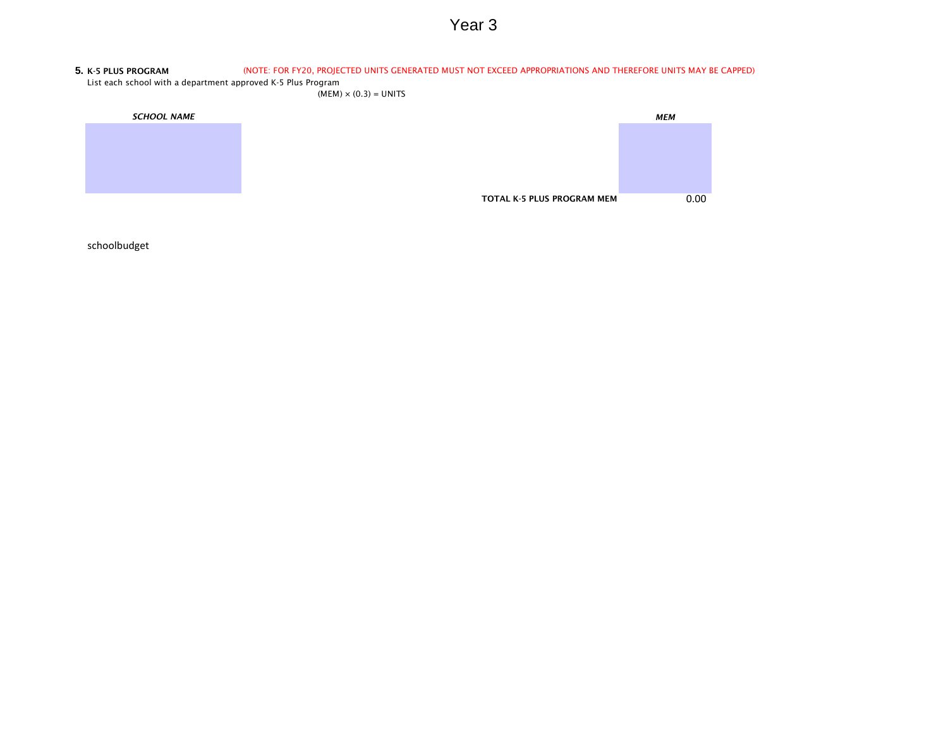#### **5.** K-5 PLUS PROGRAM (NOTE: FOR FY20, PROJECTED UNITS GENERATED MUST NOT EXCEED APPROPRIATIONS AND THEREFORE UNITS MAY BE CAPPED)

List each school with a department approved K-5 Plus Program

 $(MEM) \times (0.3) = UNITS$ 

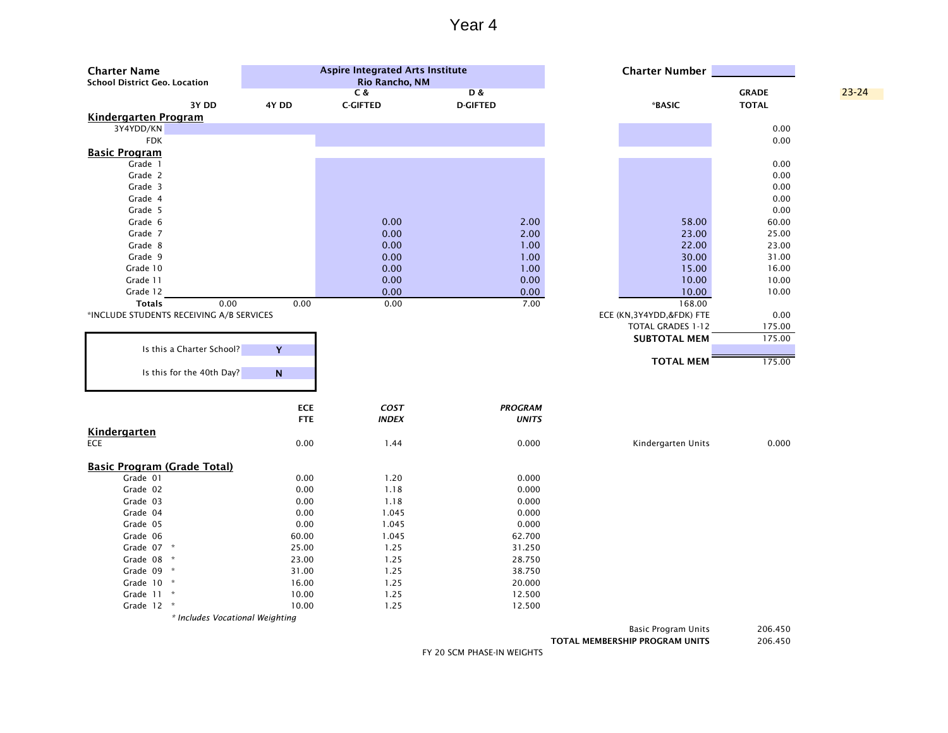| <b>Charter Name</b><br><b>School District Geo. Location</b> |            | <b>Aspire Integrated Arts Institute</b><br><b>Rio Rancho, NM</b> |                                  | <b>Charter Number</b>      |                              |           |
|-------------------------------------------------------------|------------|------------------------------------------------------------------|----------------------------------|----------------------------|------------------------------|-----------|
| 3Y DD                                                       | 4Y DD      | C &<br><b>C-GIFTED</b>                                           | <b>D&amp;</b><br><b>D-GIFTED</b> | *BASIC                     | <b>GRADE</b><br><b>TOTAL</b> | $23 - 24$ |
| <b>Kindergarten Program</b>                                 |            |                                                                  |                                  |                            |                              |           |
| 3Y4YDD/KN                                                   |            |                                                                  |                                  |                            | 0.00                         |           |
| <b>FDK</b>                                                  |            |                                                                  |                                  |                            | 0.00                         |           |
| <b>Basic Program</b>                                        |            |                                                                  |                                  |                            |                              |           |
| Grade 1                                                     |            |                                                                  |                                  |                            | 0.00                         |           |
| Grade 2                                                     |            |                                                                  |                                  |                            | 0.00                         |           |
| Grade 3                                                     |            |                                                                  |                                  |                            | 0.00                         |           |
| Grade 4                                                     |            |                                                                  |                                  |                            | 0.00                         |           |
| Grade 5                                                     |            |                                                                  |                                  |                            | 0.00                         |           |
| Grade 6                                                     |            | 0.00                                                             | 2.00                             | 58.00                      | 60.00                        |           |
| Grade 7                                                     |            | 0.00                                                             | 2.00                             | 23.00                      | 25.00                        |           |
| Grade 8                                                     |            | 0.00                                                             | 1.00                             | 22.00                      | 23.00                        |           |
| Grade 9                                                     |            | 0.00                                                             | 1.00                             | 30.00                      | 31.00                        |           |
| Grade 10                                                    |            | 0.00                                                             | 1.00                             | 15.00                      | 16.00                        |           |
| Grade 11                                                    |            | 0.00                                                             | 0.00                             | 10.00                      | 10.00                        |           |
| Grade 12                                                    |            | 0.00                                                             | 0.00                             | 10.00                      | 10.00                        |           |
| <b>Totals</b><br>0.00                                       | 0.00       | 0.00                                                             | 7.00                             | 168.00                     |                              |           |
| *INCLUDE STUDENTS RECEIVING A/B SERVICES                    |            |                                                                  |                                  | ECE (KN, 3Y4YDD, &FDK) FTE | 0.00                         |           |
|                                                             |            |                                                                  |                                  |                            |                              |           |
|                                                             |            |                                                                  |                                  | <b>TOTAL GRADES 1-12</b>   | 175.00                       |           |
|                                                             |            |                                                                  |                                  | <b>SUBTOTAL MEM</b>        | 175.00                       |           |
| Is this a Charter School?                                   | Y          |                                                                  |                                  |                            |                              |           |
|                                                             |            |                                                                  |                                  | <b>TOTAL MEM</b>           | 175.00                       |           |
| Is this for the 40th Day?                                   | ${\sf N}$  |                                                                  |                                  |                            |                              |           |
|                                                             |            |                                                                  |                                  |                            |                              |           |
|                                                             |            |                                                                  |                                  |                            |                              |           |
|                                                             | <b>ECE</b> | COST                                                             | <b>PROGRAM</b>                   |                            |                              |           |
|                                                             | <b>FTE</b> | <b>INDEX</b>                                                     | <b>UNITS</b>                     |                            |                              |           |
| <b>Kindergarten</b>                                         |            |                                                                  |                                  |                            |                              |           |
| <b>ECE</b>                                                  | 0.00       | 1.44                                                             | 0.000                            | Kindergarten Units         | 0.000                        |           |
|                                                             |            |                                                                  |                                  |                            |                              |           |
| <b>Basic Program (Grade Total)</b>                          |            |                                                                  |                                  |                            |                              |           |
| Grade 01                                                    | 0.00       | 1.20                                                             | 0.000                            |                            |                              |           |
| Grade 02                                                    | 0.00       | 1.18                                                             | 0.000                            |                            |                              |           |
| Grade 03                                                    | 0.00       | 1.18                                                             | 0.000                            |                            |                              |           |
| Grade 04                                                    | 0.00       | 1.045                                                            | 0.000                            |                            |                              |           |
| Grade 05                                                    | 0.00       | 1.045                                                            | 0.000                            |                            |                              |           |
| Grade 06                                                    | 60.00      | 1.045                                                            | 62.700                           |                            |                              |           |
| Grade 07 *                                                  | 25.00      | 1.25                                                             | 31.250                           |                            |                              |           |
| Grade 08 *                                                  | 23.00      | 1.25                                                             | 28.750                           |                            |                              |           |
| Grade 09 *                                                  | 31.00      | 1.25                                                             | 38.750                           |                            |                              |           |
| Grade 10 *                                                  | 16.00      | 1.25                                                             | 20.000                           |                            |                              |           |
| Grade 11 *                                                  | 10.00      | 1.25                                                             | 12.500                           |                            |                              |           |
| Grade 12 *                                                  | 10.00      | 1.25                                                             | 12.500                           |                            |                              |           |
| * Includes Vocational Weighting                             |            |                                                                  |                                  |                            |                              |           |
|                                                             |            |                                                                  |                                  |                            | $200 \times 100$             |           |

Basic Program Units 206.450

TOTAL MEMBERSHIP PROGRAM UNITS 206.450

FY 20 SCM PHASE-IN WEIGHTS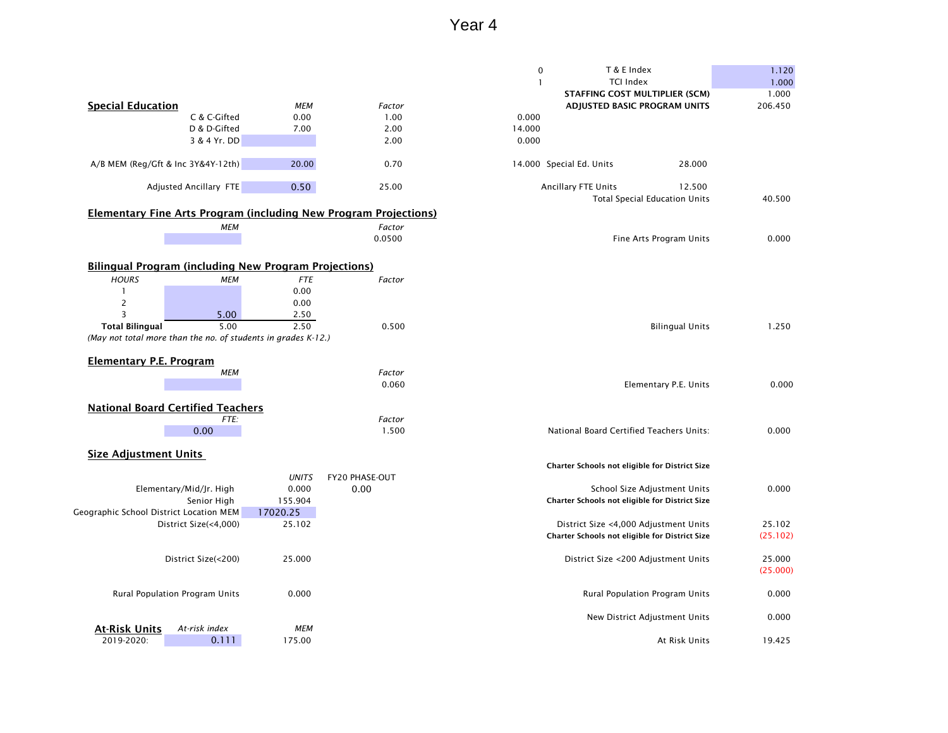|                                                                         |                          |                | T & E Index<br>$\pmb{0}$                       | 1.120    |
|-------------------------------------------------------------------------|--------------------------|----------------|------------------------------------------------|----------|
|                                                                         |                          |                | <b>TCI Index</b><br>$\mathbf{1}$               | 1.000    |
|                                                                         |                          |                | STAFFING COST MULTIPLIER (SCM)                 | 1.000    |
| <b>Special Education</b>                                                | <b>MEM</b>               | Factor         | ADJUSTED BASIC PROGRAM UNITS                   | 206.450  |
| C & C-Gifted                                                            | 0.00                     | 1.00           | 0.000                                          |          |
| D & D-Gifted                                                            | 7.00                     | 2.00           | 14.000                                         |          |
| 3 & 4 Yr. DD                                                            |                          | 2.00           | 0.000                                          |          |
|                                                                         |                          |                |                                                |          |
| A/B MEM (Reg/Gft & Inc 3Y&4Y-12th)                                      | 20.00                    | 0.70           | 14.000 Special Ed. Units<br>28.000             |          |
| Adjusted Ancillary FTE                                                  | 0.50                     | 25.00          | Ancillary FTE Units<br>12.500                  |          |
|                                                                         |                          |                | <b>Total Special Education Units</b>           | 40.500   |
| <b>Elementary Fine Arts Program (including New Program Projections)</b> |                          |                |                                                |          |
|                                                                         | <b>MEM</b>               | Factor         |                                                |          |
|                                                                         |                          | 0.0500         | Fine Arts Program Units                        | 0.000    |
|                                                                         |                          |                |                                                |          |
| <b>Bilingual Program (including New Program Projections)</b>            |                          |                |                                                |          |
| <b>HOURS</b>                                                            | <b>MEM</b><br><b>FTE</b> | Factor         |                                                |          |
|                                                                         | 0.00                     |                |                                                |          |
| $\overline{c}$                                                          | 0.00                     |                |                                                |          |
| $\overline{3}$<br>5.00                                                  | 2.50                     |                |                                                |          |
| <b>Total Bilingual</b>                                                  | 2.50<br>5.00             | 0.500          | <b>Bilingual Units</b>                         | 1.250    |
| (May not total more than the no. of students in grades K-12.)           |                          |                |                                                |          |
|                                                                         |                          |                |                                                |          |
| <b>Elementary P.E. Program</b>                                          |                          |                |                                                |          |
|                                                                         | <b>MEM</b>               | Factor         |                                                |          |
|                                                                         |                          | 0.060          | Elementary P.E. Units                          | 0.000    |
|                                                                         |                          |                |                                                |          |
| <b>National Board Certified Teachers</b>                                |                          |                |                                                |          |
|                                                                         | FTE:                     | Factor         |                                                |          |
| 0.00                                                                    |                          | 1.500          | National Board Certified Teachers Units:       | 0.000    |
|                                                                         |                          |                |                                                |          |
| <b>Size Adjustment Units</b>                                            |                          |                | Charter Schools not eligible for District Size |          |
|                                                                         | <b>UNITS</b>             | FY20 PHASE-OUT |                                                |          |
| Elementary/Mid/Jr. High                                                 | 0.000                    | 0.00           | School Size Adjustment Units                   | 0.000    |
| Senior High                                                             | 155.904                  |                | Charter Schools not eligible for District Size |          |
| Geographic School District Location MEM                                 | 17020.25                 |                |                                                |          |
| District Size(<4,000)                                                   | 25.102                   |                | District Size <4,000 Adjustment Units          | 25.102   |
|                                                                         |                          |                | Charter Schools not eligible for District Size | (25.102) |
|                                                                         |                          |                |                                                |          |
| District Size(<200)                                                     | 25.000                   |                | District Size <200 Adjustment Units            | 25.000   |
|                                                                         |                          |                |                                                | (25.000) |
| Rural Population Program Units                                          | 0.000                    |                | <b>Rural Population Program Units</b>          | 0.000    |
|                                                                         |                          |                |                                                |          |
|                                                                         |                          |                | New District Adjustment Units                  | 0.000    |
| At-risk index<br><b>At-Risk Units</b>                                   | <b>MEM</b>               |                |                                                |          |
| 2019-2020:<br>0.111                                                     | 175.00                   |                | At Risk Units                                  | 19.425   |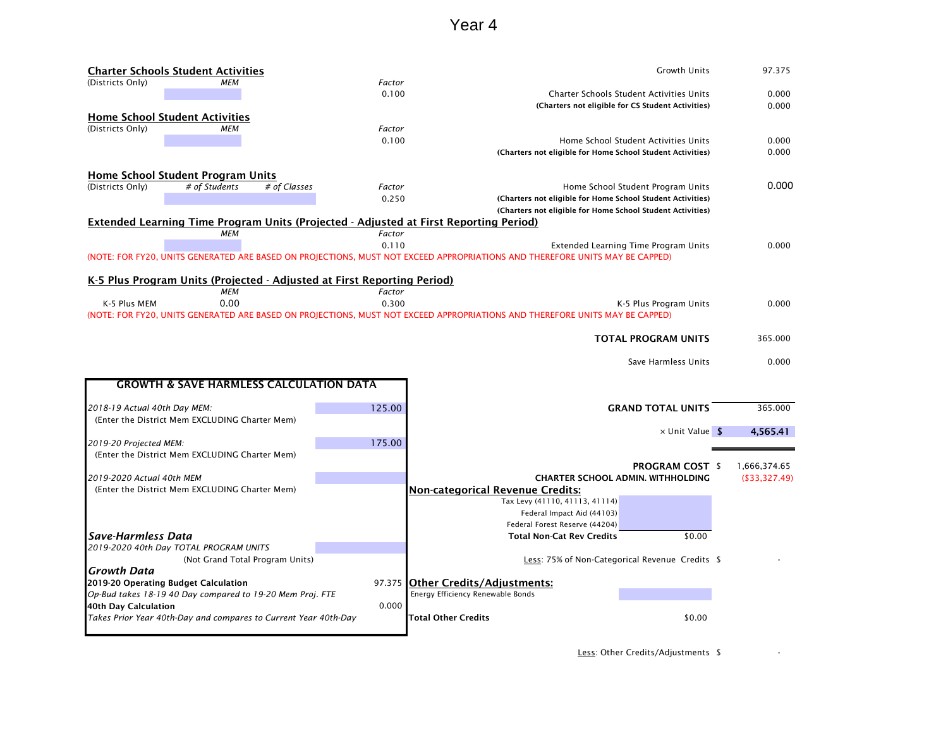|                              | <b>Charter Schools Student Activities</b>                       |              |                                                                                              | <b>Growth Units</b>                                                                                                          | 97.375        |
|------------------------------|-----------------------------------------------------------------|--------------|----------------------------------------------------------------------------------------------|------------------------------------------------------------------------------------------------------------------------------|---------------|
| (Districts Only)             | МЕМ                                                             |              | Factor                                                                                       |                                                                                                                              |               |
|                              |                                                                 |              | 0.100                                                                                        | Charter Schools Student Activities Units                                                                                     | 0.000         |
|                              |                                                                 |              |                                                                                              | (Charters not eligible for CS Student Activities)                                                                            | 0.000         |
|                              | <b>Home School Student Activities</b>                           |              |                                                                                              |                                                                                                                              |               |
| (Districts Only)             | <b>MEM</b>                                                      |              | Factor                                                                                       |                                                                                                                              |               |
|                              |                                                                 |              | 0.100                                                                                        | Home School Student Activities Units                                                                                         | 0.000         |
|                              |                                                                 |              |                                                                                              | (Charters not eligible for Home School Student Activities)                                                                   | 0.000         |
|                              |                                                                 |              |                                                                                              |                                                                                                                              |               |
|                              | <b>Home School Student Program Units</b>                        |              |                                                                                              |                                                                                                                              | 0.000         |
| (Districts Only)             | # of Students                                                   | # of Classes | Factor<br>0.250                                                                              | Home School Student Program Units<br>(Charters not eligible for Home School Student Activities)                              |               |
|                              |                                                                 |              |                                                                                              | (Charters not eligible for Home School Student Activities)                                                                   |               |
|                              |                                                                 |              | <b>Extended Learning Time Program Units (Projected - Adjusted at First Reporting Period)</b> |                                                                                                                              |               |
|                              | <b>MEM</b>                                                      |              | Factor                                                                                       |                                                                                                                              |               |
|                              |                                                                 |              | 0.110                                                                                        | Extended Learning Time Program Units                                                                                         | 0.000         |
|                              |                                                                 |              |                                                                                              | (NOTE: FOR FY20, UNITS GENERATED ARE BASED ON PROJECTIONS, MUST NOT EXCEED APPROPRIATIONS AND THEREFORE UNITS MAY BE CAPPED) |               |
|                              |                                                                 |              |                                                                                              |                                                                                                                              |               |
|                              |                                                                 |              | K-5 Plus Program Units (Projected - Adjusted at First Reporting Period)                      |                                                                                                                              |               |
|                              | МЕМ                                                             |              | Factor                                                                                       |                                                                                                                              |               |
| K-5 Plus MEM                 | 0.00                                                            |              | 0.300                                                                                        | K-5 Plus Program Units                                                                                                       | 0.000         |
|                              |                                                                 |              |                                                                                              | (NOTE: FOR FY20, UNITS GENERATED ARE BASED ON PROJECTIONS, MUST NOT EXCEED APPROPRIATIONS AND THEREFORE UNITS MAY BE CAPPED) |               |
|                              |                                                                 |              |                                                                                              |                                                                                                                              |               |
|                              |                                                                 |              |                                                                                              | <b>TOTAL PROGRAM UNITS</b>                                                                                                   | 365.000       |
|                              |                                                                 |              |                                                                                              |                                                                                                                              |               |
|                              |                                                                 |              |                                                                                              |                                                                                                                              |               |
|                              |                                                                 |              |                                                                                              | Save Harmless Units                                                                                                          | 0.000         |
|                              |                                                                 |              |                                                                                              |                                                                                                                              |               |
|                              | <b>GROWTH &amp; SAVE HARMLESS CALCULATION DATA</b>              |              |                                                                                              |                                                                                                                              |               |
|                              |                                                                 |              |                                                                                              |                                                                                                                              |               |
| 2018-19 Actual 40th Day MEM: |                                                                 |              | 125.00                                                                                       | <b>GRAND TOTAL UNITS</b>                                                                                                     | 365.000       |
|                              | (Enter the District Mem EXCLUDING Charter Mem)                  |              |                                                                                              |                                                                                                                              |               |
|                              |                                                                 |              |                                                                                              | $\times$ Unit Value \$                                                                                                       | 4,565.41      |
| 2019-20 Projected MEM:       |                                                                 |              | 175.00                                                                                       |                                                                                                                              |               |
|                              | (Enter the District Mem EXCLUDING Charter Mem)                  |              |                                                                                              |                                                                                                                              |               |
|                              |                                                                 |              |                                                                                              | <b>PROGRAM COST \$</b>                                                                                                       | 1,666,374.65  |
| 2019-2020 Actual 40th MEM    |                                                                 |              |                                                                                              | <b>CHARTER SCHOOL ADMIN. WITHHOLDING</b>                                                                                     | (\$33,327.49) |
|                              | (Enter the District Mem EXCLUDING Charter Mem)                  |              |                                                                                              | <b>Non-categorical Revenue Credits:</b>                                                                                      |               |
|                              |                                                                 |              |                                                                                              | Tax Levy (41110, 41113, 41114)                                                                                               |               |
|                              |                                                                 |              |                                                                                              | Federal Impact Aid (44103)                                                                                                   |               |
|                              |                                                                 |              |                                                                                              | Federal Forest Reserve (44204)                                                                                               |               |
| <b>Save-Harmless Data</b>    |                                                                 |              |                                                                                              | <b>Total Non-Cat Rev Credits</b><br>\$0.00                                                                                   |               |
|                              | 2019-2020 40th Day TOTAL PROGRAM UNITS                          |              |                                                                                              |                                                                                                                              |               |
|                              | (Not Grand Total Program Units)                                 |              |                                                                                              | Less: 75% of Non-Categorical Revenue Credits \$                                                                              |               |
| <b>Growth Data</b>           |                                                                 |              |                                                                                              |                                                                                                                              |               |
|                              | 2019-20 Operating Budget Calculation                            |              |                                                                                              | 97.375 Other Credits/Adjustments:                                                                                            |               |
|                              | Op-Bud takes 18-19 40 Day compared to 19-20 Mem Proj. FTE       |              |                                                                                              | Energy Efficiency Renewable Bonds                                                                                            |               |
| 40th Day Calculation         | Takes Prior Year 40th-Day and compares to Current Year 40th-Day |              | 0.000                                                                                        | \$0.00<br><b>Total Other Credits</b>                                                                                         |               |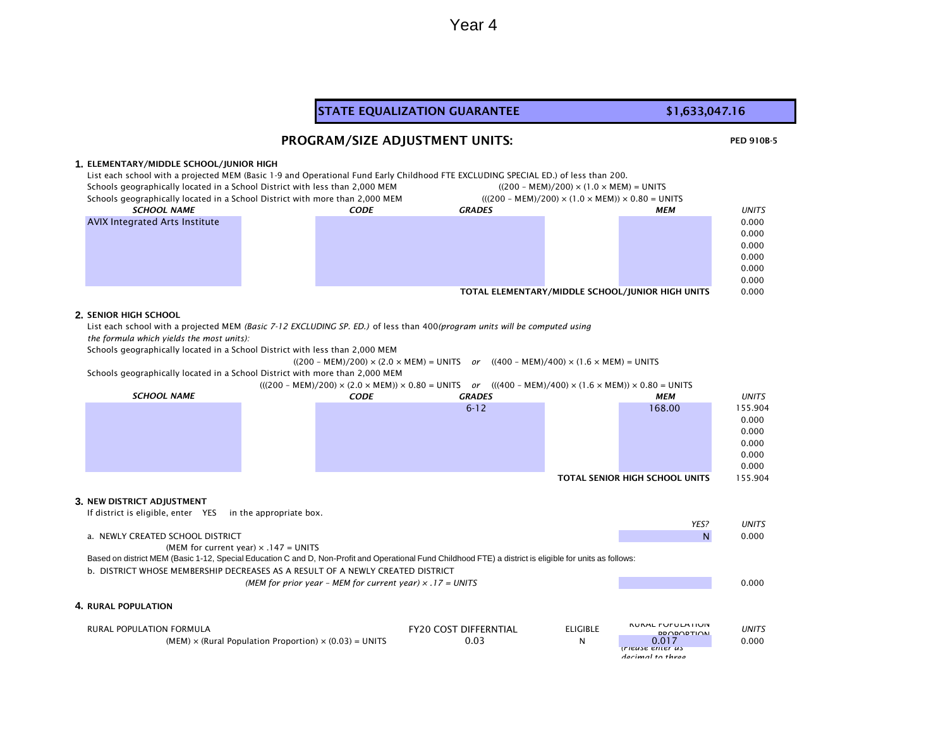#### PED 910B-5 **1.** ELEMENTARY/MIDDLE SCHOOL/JUNIOR HIGH List each school with a projected MEM (Basic 1-9 and Operational Fund Early Childhood FTE EXCLUDING SPECIAL ED.) of less than 200. Schools geographically located in a School District with less than 2,000 MEM ((200 – MEM)/200) × (1.0 × MEM) = UNITS Schools geographically located in a School District with more than 2,000 MEM (((200 – MEM)/200) × (1.0 × MEM)) × 0.80 = UNITS *CODE GRADES MEM UNITS* 0.000 0.000 0.000 0.000 0.000 0.000 TOTAL ELEMENTARY/MIDDLE SCHOOL/JUNIOR HIGH UNITS 0.000 **2.** SENIOR HIGH SCHOOL List each school with a projected MEM *(Basic 7-12 EXCLUDING SP. ED.)* of less than 400*(program units will be computed using the formula which yields the most units):*  Schools geographically located in a School District with less than 2,000 MEM  $((200 - MEM)/200) \times (2.0 \times MEM) = UNITS$  *or*  $((400 - MEM)/400) \times (1.6 \times MEM) = UNITS$ Schools geographically located in a School District with more than 2,000 MEM (((200 – MEM)/200) × (2.0 × MEM)) × 0.80 = UNITS *or* (((400 – MEM)/400) × (1.6 × MEM)) × 0.80 = UNITS *CODE GRADES MEM UNITS* 6-12 168.00 155.904 0.000 0.000 0.000 0.000 0.000 TOTAL SENIOR HIGH SCHOOL UNITS 155.904 **3.** NEW DISTRICT ADJUSTMENT If district is eligible, enter YES in the appropriate box. *YES? UNITS* a. NEWLY CREATED SCHOOL DISTRICT AND RESOLUTION OF A RESOLUTION OF A RESOLUTION OF A RESOLUTION OF A RESOLUTION O (MEM for current year)  $\times$  .147 = UNITS b. DISTRICT WHOSE MEMBERSHIP DECREASES AS A RESULT OF A NEWLY CREATED DISTRICT *(MEM for prior year – MEM for current year) × .17 = UNITS* 0.000 **4.** RURAL POPULATION RURAL POPULATION FORMULA FRANCHISE ELIGIBLE FRANCHISE ELIGIBLE FRANCHISES AND RESPONSIVE ON A REPORT OF THE RUR<br>FRANCHISE ELIGIBLE PROPORTION *UNITS*  $(MEM) \times (Rural Population Proportion) \times (0.03) = UNITS$  0.03 0.03 *(Please enter as decimal to three SCHOOL NAME* AVIX Integrated Arts Institute STATE EQUALIZATION GUARANTEE **\$1,633,047.16** PROGRAM/SIZE ADJUSTMENT UNITS: *SCHOOL NAME* Based on district MEM (Basic 1-12, Special Education C and D, Non-Profit and Operational Fund Childhood FTE) a district is eligible for units as follows: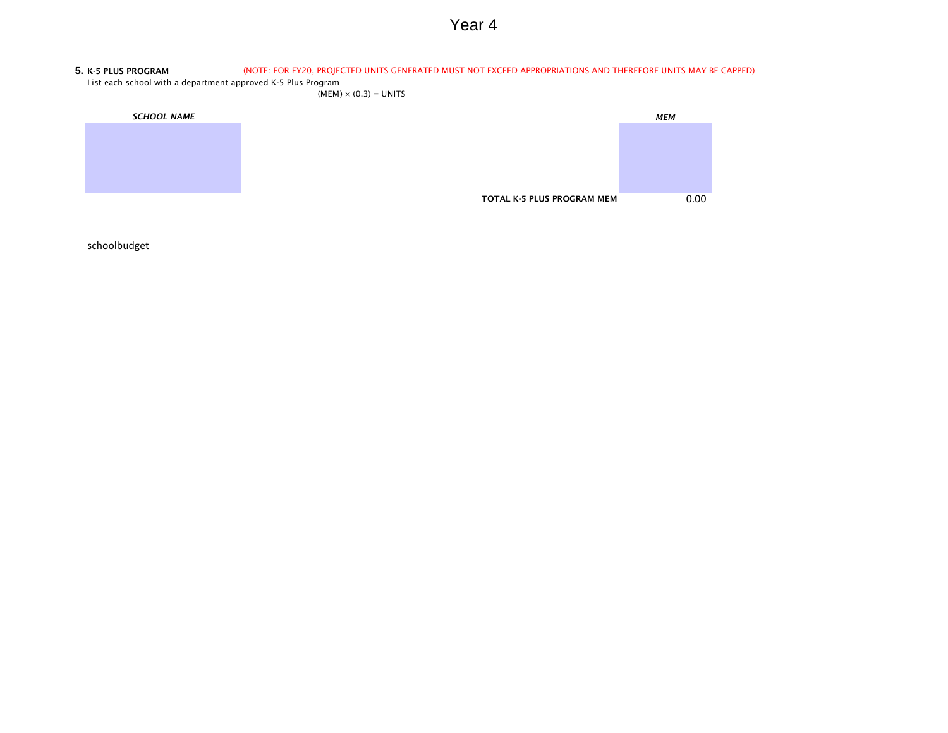#### **5.** K-5 PLUS PROGRAM (NOTE: FOR FY20, PROJECTED UNITS GENERATED MUST NOT EXCEED APPROPRIATIONS AND THEREFORE UNITS MAY BE CAPPED)

List each school with a department approved K-5 Plus Program

 $(MEM) \times (0.3) = UNITS$ 

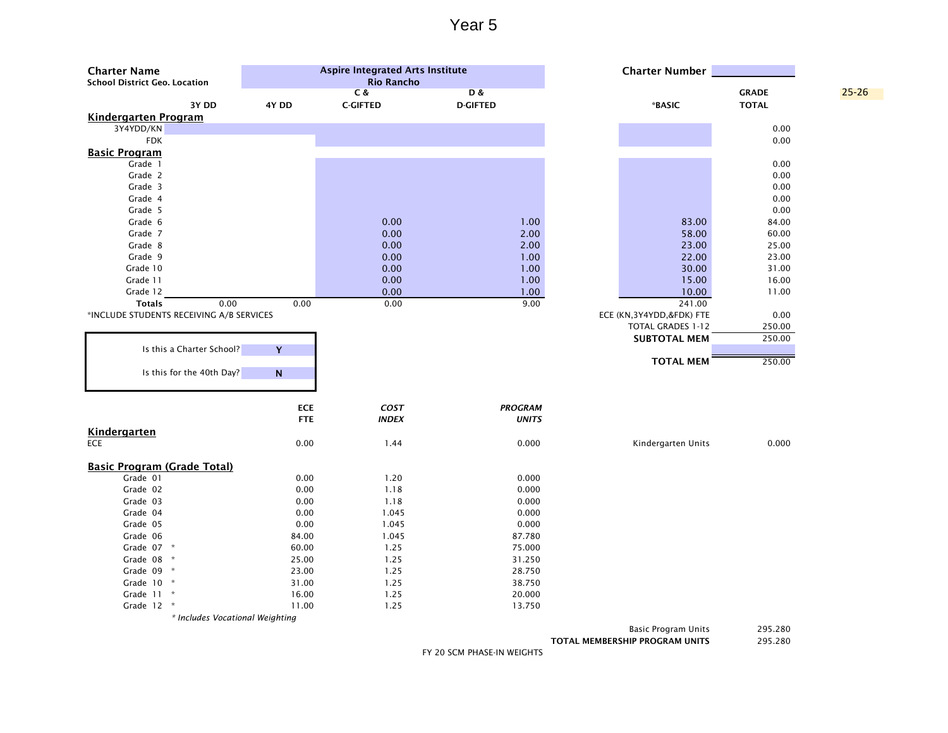| <b>Charter Name</b><br><b>School District Geo. Location</b> |            | <b>Aspire Integrated Arts Institute</b><br><b>Rio Rancho</b> |                                  | <b>Charter Number</b>    |                              |           |
|-------------------------------------------------------------|------------|--------------------------------------------------------------|----------------------------------|--------------------------|------------------------------|-----------|
| 3Y DD                                                       | 4Y DD      | C &<br><b>C-GIFTED</b>                                       | <b>D&amp;</b><br><b>D-GIFTED</b> | *BASIC                   | <b>GRADE</b><br><b>TOTAL</b> | $25 - 26$ |
| <b>Kindergarten Program</b>                                 |            |                                                              |                                  |                          |                              |           |
| 3Y4YDD/KN                                                   |            |                                                              |                                  |                          | 0.00                         |           |
| <b>FDK</b>                                                  |            |                                                              |                                  |                          | 0.00                         |           |
| <b>Basic Program</b>                                        |            |                                                              |                                  |                          |                              |           |
| Grade 1                                                     |            |                                                              |                                  |                          | 0.00                         |           |
| Grade 2                                                     |            |                                                              |                                  |                          | 0.00                         |           |
| Grade 3                                                     |            |                                                              |                                  |                          | 0.00                         |           |
| Grade 4                                                     |            |                                                              |                                  |                          | 0.00                         |           |
| Grade 5                                                     |            |                                                              |                                  |                          | 0.00                         |           |
| Grade 6                                                     |            | 0.00                                                         | 1.00                             | 83.00                    | 84.00                        |           |
| Grade 7                                                     |            | 0.00                                                         | 2.00                             | 58.00                    | 60.00                        |           |
| Grade 8                                                     |            | 0.00                                                         | 2.00                             | 23.00                    | 25.00                        |           |
| Grade 9                                                     |            | 0.00                                                         | 1.00                             | 22.00                    | 23.00                        |           |
| Grade 10                                                    |            | 0.00                                                         | 1.00                             | 30.00                    | 31.00                        |           |
| Grade 11                                                    |            | 0.00                                                         | 1.00                             | 15.00                    | 16.00                        |           |
| Grade 12                                                    |            | 0.00                                                         | 1.00                             | 10.00                    | 11.00                        |           |
| <b>Totals</b><br>0.00                                       | 0.00       | 0.00                                                         | 9.00                             | 241.00                   |                              |           |
| *INCLUDE STUDENTS RECEIVING A/B SERVICES                    |            |                                                              |                                  | ECE (KN,3Y4YDD,&FDK) FTE | 0.00                         |           |
|                                                             |            |                                                              |                                  | <b>TOTAL GRADES 1-12</b> | 250.00                       |           |
|                                                             |            |                                                              |                                  | <b>SUBTOTAL MEM</b>      | 250.00                       |           |
| Is this a Charter School?                                   | Y          |                                                              |                                  |                          |                              |           |
|                                                             |            |                                                              |                                  | <b>TOTAL MEM</b>         | 250.00                       |           |
| Is this for the 40th Day?                                   | ${\sf N}$  |                                                              |                                  |                          |                              |           |
|                                                             |            |                                                              |                                  |                          |                              |           |
|                                                             | <b>ECE</b> | COST                                                         | <b>PROGRAM</b>                   |                          |                              |           |
|                                                             | <b>FTE</b> | <b>INDEX</b>                                                 | <b>UNITS</b>                     |                          |                              |           |
| <b>Kindergarten</b>                                         |            |                                                              |                                  |                          |                              |           |
| <b>ECE</b>                                                  | 0.00       | 1.44                                                         | 0.000                            | Kindergarten Units       | 0.000                        |           |
|                                                             |            |                                                              |                                  |                          |                              |           |
| <b>Basic Program (Grade Total)</b>                          |            |                                                              |                                  |                          |                              |           |
| Grade 01                                                    | 0.00       | 1.20                                                         | 0.000                            |                          |                              |           |
| Grade 02                                                    | 0.00       | 1.18                                                         | 0.000                            |                          |                              |           |
| Grade 03                                                    | 0.00       | 1.18                                                         | 0.000                            |                          |                              |           |
| Grade 04                                                    | 0.00       | 1.045                                                        | 0.000                            |                          |                              |           |
| Grade 05                                                    | 0.00       | 1.045                                                        | 0.000                            |                          |                              |           |
| Grade 06                                                    | 84.00      | 1.045                                                        | 87.780                           |                          |                              |           |
| Grade 07 *                                                  | 60.00      | 1.25                                                         | 75.000                           |                          |                              |           |
| Grade 08 *                                                  | 25.00      | 1.25                                                         | 31.250                           |                          |                              |           |
| Grade 09 *                                                  | 23.00      | 1.25                                                         | 28.750                           |                          |                              |           |
| Grade 10 *                                                  | 31.00      | 1.25                                                         | 38.750                           |                          |                              |           |
| Grade 11 *                                                  | 16.00      | 1.25                                                         | 20.000                           |                          |                              |           |
| Grade 12 *                                                  | 11.00      | 1.25                                                         | 13.750                           |                          |                              |           |
| * Includes Vocational Weighting                             |            |                                                              |                                  |                          |                              |           |

Basic Program Units 295.280

TOTAL MEMBERSHIP PROGRAM UNITS 295.280

FY 20 SCM PHASE-IN WEIGHTS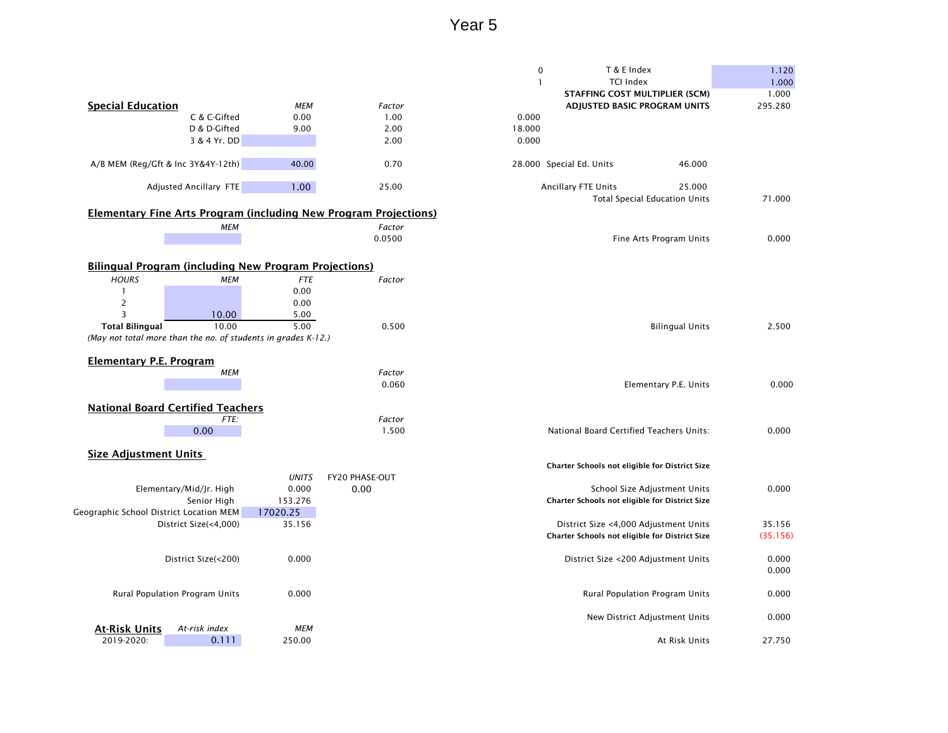|                                                               |                                |              |                                                                         | T & E Index<br>$\pmb{0}$                       | 1.120    |
|---------------------------------------------------------------|--------------------------------|--------------|-------------------------------------------------------------------------|------------------------------------------------|----------|
|                                                               |                                |              |                                                                         | $\mathbf{1}$<br><b>TCI Index</b>               | 1.000    |
|                                                               |                                |              |                                                                         | <b>STAFFING COST MULTIPLIER (SCM)</b>          | 1.000    |
| <b>Special Education</b>                                      |                                | <b>MEM</b>   | Factor                                                                  | ADJUSTED BASIC PROGRAM UNITS                   | 295.280  |
|                                                               | C & C-Gifted                   | 0.00         | 1.00                                                                    | 0.000                                          |          |
|                                                               | D & D-Gifted                   | 9.00         | 2.00                                                                    | 18.000                                         |          |
|                                                               | 3 & 4 Yr. DD                   |              | 2.00                                                                    | 0.000                                          |          |
| A/B MEM (Reg/Gft & Inc 3Y&4Y-12th)                            |                                | 40.00        | 0.70                                                                    | 28.000 Special Ed. Units<br>46.000             |          |
|                                                               | Adjusted Ancillary FTE         | 1.00         | 25.00                                                                   | Ancillary FTE Units<br>25.000                  |          |
|                                                               |                                |              |                                                                         | <b>Total Special Education Units</b>           | 71.000   |
|                                                               |                                |              | <b>Elementary Fine Arts Program (including New Program Projections)</b> |                                                |          |
|                                                               | <b>MEM</b>                     |              | Factor                                                                  |                                                |          |
|                                                               |                                |              | 0.0500                                                                  | Fine Arts Program Units                        | 0.000    |
|                                                               |                                |              |                                                                         |                                                |          |
| <b>Bilingual Program (including New Program Projections)</b>  |                                |              |                                                                         |                                                |          |
| <b>HOURS</b>                                                  | <b>MEM</b>                     | <b>FTE</b>   | Factor                                                                  |                                                |          |
|                                                               |                                | 0.00         |                                                                         |                                                |          |
| 2                                                             |                                | 0.00         |                                                                         |                                                |          |
| 3                                                             | 10.00                          | 5.00         |                                                                         |                                                |          |
| <b>Total Bilingual</b>                                        | 10.00                          | 5.00         | 0.500                                                                   | <b>Bilingual Units</b>                         | 2.500    |
| (May not total more than the no. of students in grades K-12.) |                                |              |                                                                         |                                                |          |
|                                                               |                                |              |                                                                         |                                                |          |
| <b>Elementary P.E. Program</b>                                | <b>MEM</b>                     |              | Factor                                                                  |                                                |          |
|                                                               |                                |              | 0.060                                                                   | Elementary P.E. Units                          | 0.000    |
|                                                               |                                |              |                                                                         |                                                |          |
| <b>National Board Certified Teachers</b>                      |                                |              |                                                                         |                                                |          |
|                                                               | FTE:                           |              | Factor                                                                  |                                                |          |
|                                                               | 0.00                           |              | 1.500                                                                   | National Board Certified Teachers Units:       | 0.000    |
|                                                               |                                |              |                                                                         |                                                |          |
| <b>Size Adjustment Units</b>                                  |                                |              |                                                                         |                                                |          |
|                                                               |                                |              |                                                                         | Charter Schools not eligible for District Size |          |
|                                                               |                                | <b>UNITS</b> | FY20 PHASE-OUT                                                          |                                                |          |
|                                                               | Elementary/Mid/Jr. High        | 0.000        | 0.00                                                                    | School Size Adjustment Units                   | 0.000    |
|                                                               | Senior High                    | 153.276      |                                                                         | Charter Schools not eligible for District Size |          |
| Geographic School District Location MEM                       |                                | 17020.25     |                                                                         |                                                |          |
|                                                               | District Size(<4,000)          | 35.156       |                                                                         | District Size <4,000 Adjustment Units          | 35.156   |
|                                                               |                                |              |                                                                         | Charter Schools not eligible for District Size | (35.156) |
|                                                               | District Size(<200)            | 0.000        |                                                                         | District Size <200 Adjustment Units            | 0.000    |
|                                                               |                                |              |                                                                         |                                                | 0.000    |
|                                                               | Rural Population Program Units | 0.000        |                                                                         | Rural Population Program Units                 | 0.000    |
|                                                               |                                |              |                                                                         |                                                |          |
|                                                               | At-risk index                  |              |                                                                         | New District Adjustment Units                  | 0.000    |
| <b>At-Risk Units</b>                                          |                                | MEM          |                                                                         | At Risk Units                                  |          |
| 2019-2020:                                                    | 0.111                          | 250.00       |                                                                         |                                                | 27.750   |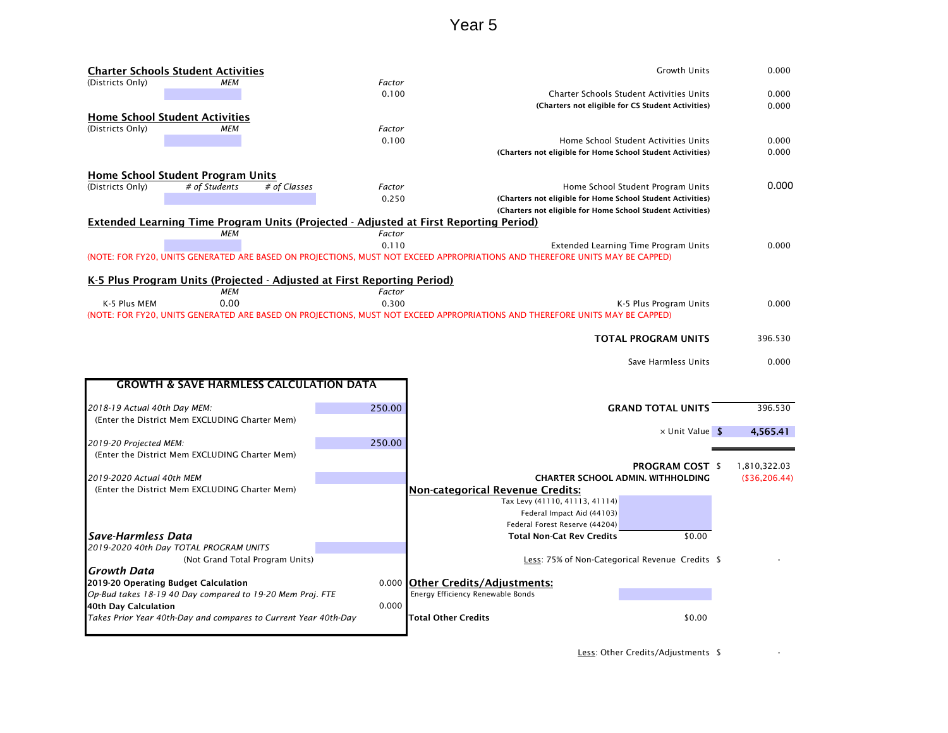|                              | <b>Charter Schools Student Activities</b>                               |              |        | <b>Growth Units</b>                                                                                                          | 0.000         |
|------------------------------|-------------------------------------------------------------------------|--------------|--------|------------------------------------------------------------------------------------------------------------------------------|---------------|
| (Districts Only)             | МЕМ                                                                     |              | Factor |                                                                                                                              |               |
|                              |                                                                         |              | 0.100  | <b>Charter Schools Student Activities Units</b>                                                                              | 0.000         |
|                              |                                                                         |              |        | (Charters not eligible for CS Student Activities)                                                                            | 0.000         |
|                              | <b>Home School Student Activities</b>                                   |              |        |                                                                                                                              |               |
| (Districts Only)             | MEM                                                                     |              | Factor |                                                                                                                              |               |
|                              |                                                                         |              | 0.100  | Home School Student Activities Units                                                                                         | 0.000         |
|                              |                                                                         |              |        | (Charters not eligible for Home School Student Activities)                                                                   | 0.000         |
|                              |                                                                         |              |        |                                                                                                                              |               |
|                              | <b>Home School Student Program Units</b>                                |              |        |                                                                                                                              | 0.000         |
| (Districts Only)             | # of Students                                                           | # of Classes | Factor | Home School Student Program Units                                                                                            |               |
|                              |                                                                         |              | 0.250  | (Charters not eligible for Home School Student Activities)                                                                   |               |
|                              |                                                                         |              |        | (Charters not eligible for Home School Student Activities)                                                                   |               |
|                              |                                                                         |              |        | <b>Extended Learning Time Program Units (Projected - Adjusted at First Reporting Period)</b>                                 |               |
|                              | MEM                                                                     |              | Factor |                                                                                                                              |               |
|                              |                                                                         |              | 0.110  | Extended Learning Time Program Units                                                                                         | 0.000         |
|                              |                                                                         |              |        | (NOTE: FOR FY20, UNITS GENERATED ARE BASED ON PROJECTIONS, MUST NOT EXCEED APPROPRIATIONS AND THEREFORE UNITS MAY BE CAPPED) |               |
|                              |                                                                         |              |        |                                                                                                                              |               |
|                              | K-5 Plus Program Units (Projected - Adjusted at First Reporting Period) |              |        |                                                                                                                              |               |
|                              | MEM                                                                     |              | Factor |                                                                                                                              |               |
| K-5 Plus MEM                 | 0.00                                                                    |              | 0.300  | K-5 Plus Program Units                                                                                                       | 0.000         |
|                              |                                                                         |              |        | (NOTE: FOR FY20, UNITS GENERATED ARE BASED ON PROJECTIONS, MUST NOT EXCEED APPROPRIATIONS AND THEREFORE UNITS MAY BE CAPPED) |               |
|                              |                                                                         |              |        |                                                                                                                              |               |
|                              |                                                                         |              |        | <b>TOTAL PROGRAM UNITS</b>                                                                                                   | 396.530       |
|                              |                                                                         |              |        |                                                                                                                              |               |
|                              |                                                                         |              |        | Save Harmless Units                                                                                                          | 0.000         |
|                              | <b>GROWTH &amp; SAVE HARMLESS CALCULATION DATA</b>                      |              |        |                                                                                                                              |               |
|                              |                                                                         |              |        |                                                                                                                              |               |
| 2018-19 Actual 40th Day MEM: |                                                                         |              | 250.00 | <b>GRAND TOTAL UNITS</b>                                                                                                     | 396.530       |
|                              | (Enter the District Mem EXCLUDING Charter Mem)                          |              |        |                                                                                                                              |               |
|                              |                                                                         |              |        |                                                                                                                              | 4,565.41      |
|                              |                                                                         |              | 250.00 | $\times$ Unit Value \$                                                                                                       |               |
| 2019-20 Projected MEM:       | (Enter the District Mem EXCLUDING Charter Mem)                          |              |        |                                                                                                                              |               |
|                              |                                                                         |              |        |                                                                                                                              |               |
|                              |                                                                         |              |        | <b>PROGRAM COST \$</b>                                                                                                       | 1,810,322.03  |
| 2019-2020 Actual 40th MEM    |                                                                         |              |        | <b>CHARTER SCHOOL ADMIN. WITHHOLDING</b>                                                                                     | (\$36,206.44) |
|                              | (Enter the District Mem EXCLUDING Charter Mem)                          |              |        | <b>Non-categorical Revenue Credits:</b>                                                                                      |               |
|                              |                                                                         |              |        | Tax Levy (41110, 41113, 41114)                                                                                               |               |
|                              |                                                                         |              |        | Federal Impact Aid (44103)                                                                                                   |               |
|                              |                                                                         |              |        |                                                                                                                              |               |
| Save-Harmless Data           |                                                                         |              |        | Federal Forest Reserve (44204)                                                                                               |               |
|                              |                                                                         |              |        | <b>Total Non-Cat Rev Credits</b><br>\$0.00                                                                                   |               |
|                              | 2019-2020 40th Day TOTAL PROGRAM UNITS                                  |              |        |                                                                                                                              |               |
|                              | (Not Grand Total Program Units)                                         |              |        | Less: 75% of Non-Categorical Revenue Credits \$                                                                              |               |
| Growth Data                  |                                                                         |              |        |                                                                                                                              |               |
|                              | 2019-20 Operating Budget Calculation                                    |              |        | 0.000 Other Credits/Adjustments:                                                                                             |               |
|                              | Op-Bud takes 18-19 40 Day compared to 19-20 Mem Proj. FTE               |              |        | Energy Efficiency Renewable Bonds                                                                                            |               |
| 40th Day Calculation         |                                                                         |              | 0.000  |                                                                                                                              |               |
|                              | Takes Prior Year 40th-Day and compares to Current Year 40th-Day         |              |        | Total Other Credits<br>\$0.00                                                                                                |               |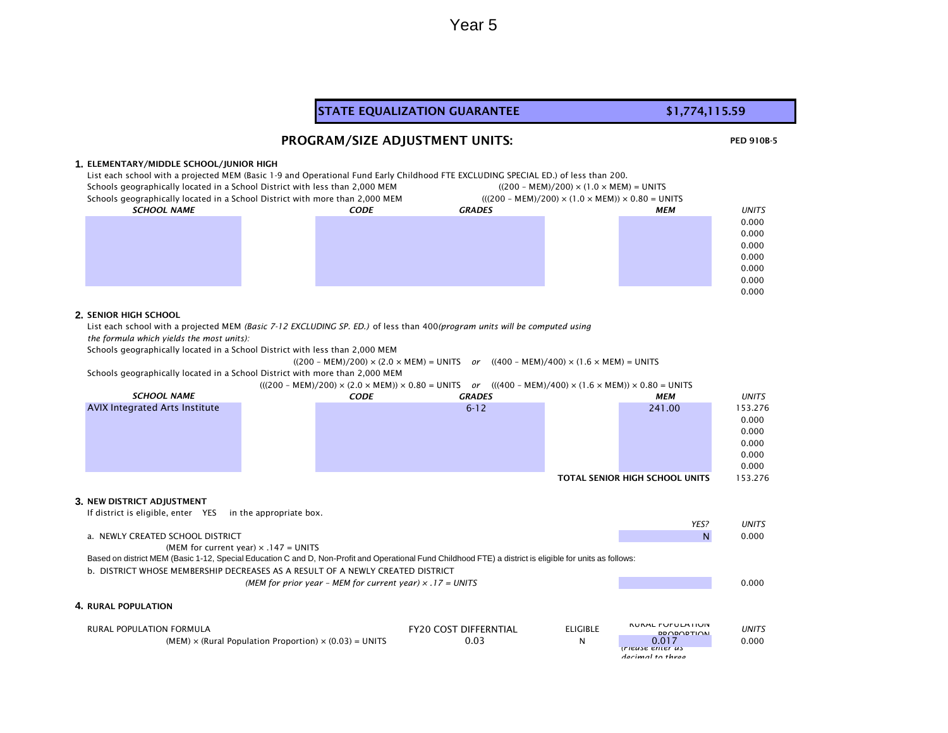### STATE EQUALIZATION GUARANTEE **\$1,774,115.59**

Year 5

#### PROGRAM/SIZE ADJUSTMENT UNITS:

#### **1.** ELEMENTARY/MIDDLE SCHOOL/JUNIOR HIGH

List each school with a projected MEM (Basic 1-9 and Operational Fund Early Childhood FTE EXCLUDING SPECIAL ED.) of less than 200. Schools geographically located in a School District with less than 2,000 MEM  $(200 - MEM)/200$   $\times$  (1.0  $\times$  MEM) = UNITS

| believes geographically located in a scribbi District with icss than 2,000 MEM |             | $(1200 \text{ N/LW})/200/21.0 \times \text{N/LW}) = 0.1113$       |     |              |  |
|--------------------------------------------------------------------------------|-------------|-------------------------------------------------------------------|-----|--------------|--|
| Schools geographically located in a School District with more than 2,000 MEM   |             | $(((200 - MEM)/200) \times (1.0 \times MEM)) \times 0.80 = UNITS$ |     |              |  |
| <b>SCHOOL NAME</b>                                                             | <b>CODE</b> | <b>GRADES</b>                                                     | МЕМ | <b>UNITS</b> |  |
|                                                                                |             |                                                                   |     | 0.000        |  |
|                                                                                |             |                                                                   |     | 0.000        |  |
|                                                                                |             |                                                                   |     | 0.000        |  |
|                                                                                |             |                                                                   |     | 0.000        |  |
|                                                                                |             |                                                                   |     | 0.000        |  |
|                                                                                |             |                                                                   |     | 0.000        |  |
|                                                                                |             |                                                                   |     | 0.000        |  |

#### **2.** SENIOR HIGH SCHOOL

List each school with a projected MEM *(Basic 7-12 EXCLUDING SP. ED.)* of less than 400*(program units will be computed using*

*the formula which yields the most units):* 

Schools geographically located in a School District with less than 2,000 MEM

 $((200 - MEM)/200) \times (2.0 \times MEM) = UNITS$  *or*  $((400 - MEM)/400) \times (1.6 \times MEM) = UNITS$ 

Schools geographically located in a School District with more than 2,000 MEM

(((200 – MEM)/200) × (2.0 × MEM)) × 0.80 = UNITS *or* (((400 – MEM)/400) × (1.6 × MEM)) × 0.80 = UNITS *CODE GRADES MEM UNITS* 6-12 241.00 153.276 0.000 0.000 0.000 0.000 0.000 TOTAL SENIOR HIGH SCHOOL UNITS 153.276 **3.** NEW DISTRICT ADJUSTMENT If district is eligible, enter YES in the appropriate box. *YES? UNITS* a. NEWLY CREATED SCHOOL DISTRICT AND RESOLUTION OF A RESOLUTION OF A RESOLUTION OF A RESOLUTION OF A RESOLUTION O (MEM for current year)  $\times$  .147 = UNITS b. DISTRICT WHOSE MEMBERSHIP DECREASES AS A RESULT OF A NEWLY CREATED DISTRICT *(MEM for prior year – MEM for current year) × .17 = UNITS* 0.000 **4.** RURAL POPULATION RURAL POPULATION FORMULA **FY20 COST DIFFERNTIAL** ELIGIBLE RURAL POPULATION PROPORTION *UNITS*  $(MEM) \times (Rural Population Proportion) \times (0.03) = UNITS$  0.03 0.03 *(Please enter as SCHOOL NAME* AVIX Integrated Arts Institute Based on district MEM (Basic 1-12, Special Education C and D, Non-Profit and Operational Fund Childhood FTE) a district is eligible for units as follows:

*decimal to three* 

PED 910B-5